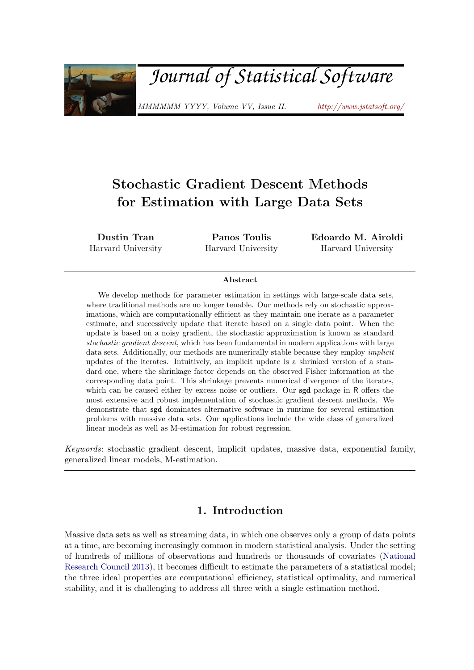<span id="page-0-0"></span>

# *Journal of Statistical Software*

MMMMMM YYYY, Volume VV, Issue II. <http://www.jstatsoft.org/>

## Stochastic Gradient Descent Methods for Estimation with Large Data Sets

Dustin Tran Harvard University

Panos Toulis Harvard University Edoardo M. Airoldi Harvard University

#### Abstract

We develop methods for parameter estimation in settings with large-scale data sets, where traditional methods are no longer tenable. Our methods rely on stochastic approximations, which are computationally efficient as they maintain one iterate as a parameter estimate, and successively update that iterate based on a single data point. When the update is based on a noisy gradient, the stochastic approximation is known as standard stochastic gradient descent, which has been fundamental in modern applications with large data sets. Additionally, our methods are numerically stable because they employ implicit updates of the iterates. Intuitively, an implicit update is a shrinked version of a standard one, where the shrinkage factor depends on the observed Fisher information at the corresponding data point. This shrinkage prevents numerical divergence of the iterates, which can be caused either by excess noise or outliers. Our **sgd** package in R offers the most extensive and robust implementation of stochastic gradient descent methods. We demonstrate that sgd dominates alternative software in runtime for several estimation problems with massive data sets. Our applications include the wide class of generalized linear models as well as M-estimation for robust regression.

Keywords: stochastic gradient descent, implicit updates, massive data, exponential family, generalized linear models, M-estimation.

### 1. Introduction

<span id="page-0-1"></span>Massive data sets as well as streaming data, in which one observes only a group of data points at a time, are becoming increasingly common in modern statistical analysis. Under the setting of hundreds of millions of observations and hundreds or thousands of covariates [\(National](#page-21-0) [Research Council](#page-21-0) [2013\)](#page-21-0), it becomes difficult to estimate the parameters of a statistical model; the three ideal properties are computational efficiency, statistical optimality, and numerical stability, and it is challenging to address all three with a single estimation method.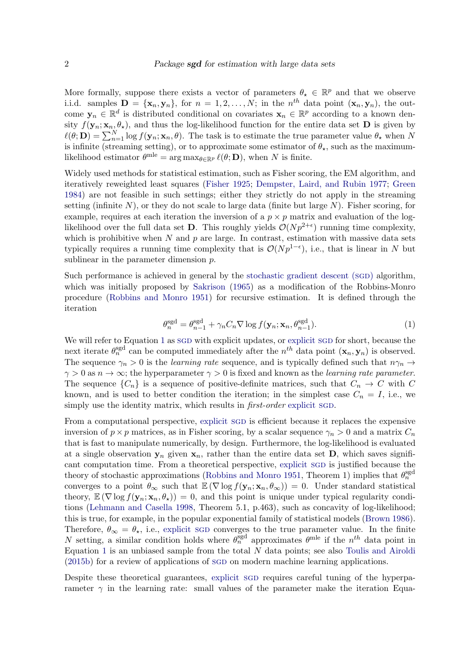More formally, suppose there exists a vector of parameters  $\theta_{\star} \in \mathbb{R}^{p}$  and that we observe i.i.d. samples  $\mathbf{D} = {\mathbf{x}_n, \mathbf{y}_n}$ , for  $n = 1, 2, ..., N$ ; in the  $n^{th}$  data point  $(\mathbf{x}_n, \mathbf{y}_n)$ , the outcome  $y_n \in \mathbb{R}^d$  is distributed conditional on covariates  $x_n \in \mathbb{R}^p$  according to a known density  $f(\mathbf{y}_n; \mathbf{x}_n, \theta_\star)$ , and thus the log-likelihood function for the entire data set **D** is given by  $\ell(\theta; \mathbf{D}) = \sum_{n=1}^{N} \log f(\mathbf{y}_n; \mathbf{x}_n, \theta)$ . The task is to estimate the true parameter value  $\theta_{\star}$  when N is infinite (streaming setting), or to approximate some estimator of  $\theta_{\star}$ , such as the maximumlikelihood estimator  $\theta^{\text{mle}} = \arg \max_{\theta \in \mathbb{R}^p} \ell(\theta; \mathbf{D})$ , when N is finite.

Widely used methods for statistical estimation, such as Fisher scoring, the EM algorithm, and iteratively reweighted least squares [\(Fisher](#page-20-0) [1925;](#page-20-0) [Dempster, Laird, and Rubin](#page-19-0) [1977;](#page-19-0) [Green](#page-20-1) [1984\)](#page-20-1) are not feasible in such settings; either they strictly do not apply in the streaming setting (infinite  $N$ ), or they do not scale to large data (finite but large  $N$ ). Fisher scoring, for example, requires at each iteration the inversion of a  $p \times p$  matrix and evaluation of the loglikelihood over the full data set **D**. This roughly yields  $\mathcal{O}(Np^{2+\epsilon})$  running time complexity, which is prohibitive when  $N$  and  $p$  are large. In contrast, estimation with massive data sets typically requires a running time complexity that is  $\mathcal{O}(Np^{1-\epsilon})$ , i.e., that is linear in N but sublinear in the parameter dimension  $p$ .

Such performance is achieved in general by the [stochastic gradient descent \(](#page-0-0)sgD) algorithm, which was initially proposed by [Sakrison](#page-22-0) [\(1965\)](#page-22-0) as a modification of the Robbins-Monro procedure [\(Robbins and Monro](#page-22-1) [1951\)](#page-22-1) for recursive estimation. It is defined through the iteration

<span id="page-1-0"></span>
$$
\theta_n^{\text{sgd}} = \theta_{n-1}^{\text{sgd}} + \gamma_n C_n \nabla \log f(\mathbf{y}_n; \mathbf{x}_n, \theta_{n-1}^{\text{sgd}}). \tag{1}
$$

We will refer to Equation [1](#page-1-0) as SGD with [explicit](#page-0-0) updates, or explicit SGD for short, because the next iterate  $\theta_n^{\text{sgd}}$  can be computed immediately after the  $n^{th}$  data point  $(\mathbf{x}_n, \mathbf{y}_n)$  is observed. The sequence  $\gamma_n > 0$  is the *learning rate* sequence, and is typically defined such that  $n\gamma_n \to$  $\gamma > 0$  as  $n \to \infty$ ; the hyperparameter  $\gamma > 0$  is fixed and known as the learning rate parameter. The sequence  $\{C_n\}$  is a sequence of positive-definite matrices, such that  $C_n \to C$  with C known, and is used to better condition the iteration; in the simplest case  $C_n = I$ , i.e., we simply use the identity matrix, which results in *first-order* [explicit](#page-0-0) sgD.

From a computational perspective, [explicit](#page-0-0) sgD is efficient because it replaces the expensive inversion of  $p \times p$  matrices, as in Fisher scoring, by a scalar sequence  $\gamma_n > 0$  and a matrix  $C_n$ that is fast to manipulate numerically, by design. Furthermore, the log-likelihood is evaluated at a single observation  $y_n$  given  $x_n$ , rather than the entire data set **D**, which saves significant computation time. From a theoretical perspective, [explicit](#page-0-0) sgD is justified because the theory of stochastic approximations [\(Robbins and Monro](#page-22-1) [1951,](#page-22-1) Theorem 1) implies that  $\theta_n^{\text{sgd}}$ converges to a point  $\theta_{\infty}$  such that  $\mathbb{E}(\nabla \log f(\mathbf{y}_n; \mathbf{x}_n, \theta_{\infty})) = 0$ . Under standard statistical theory,  $\mathbb{E}(\nabla \log f(\mathbf{y}_n; \mathbf{x}_n, \theta_{\star})) = 0$ , and this point is unique under typical regularity conditions [\(Lehmann and Casella](#page-21-1) [1998,](#page-21-1) Theorem 5.1, p.463), such as concavity of log-likelihood; this is true, for example, in the popular exponential family of statistical models [\(Brown](#page-19-1) [1986\)](#page-19-1). Therefore,  $\theta_{\infty} = \theta_{\star}$ , i.e., [explicit](#page-0-0) SGD converges to the true parameter value. In the finite N setting, a similar condition holds where  $\theta_n^{\text{sgd}}$  approximates  $\theta^{\text{mle}}$  if the  $n^{th}$  data point in Equation [1](#page-1-0) is an unbiased sample from the total  $N$  data points; see also [Toulis and Airoldi](#page-22-2) [\(2015b\)](#page-22-2) for a review of applications of SGD on modern machine learning applications.

Despite these theoretical guarantees, [explicit](#page-0-0) sgD requires careful tuning of the hyperparameter  $\gamma$  in the learning rate: small values of the parameter make the iteration Equa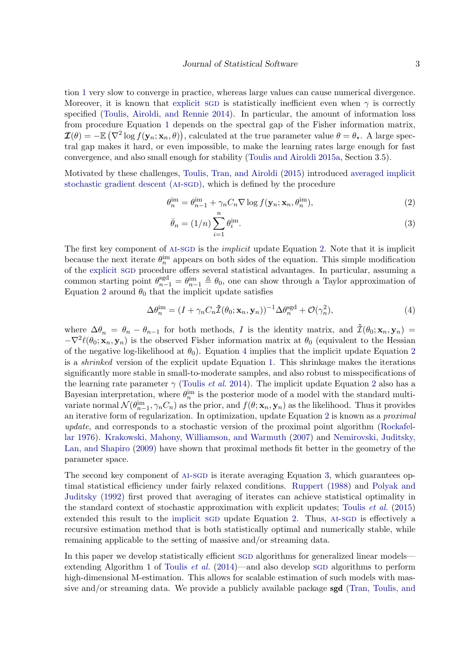tion [1](#page-1-0) very slow to converge in practice, whereas large values can cause numerical divergence. Moreover, it is known that [explicit](#page-0-0) sqp is statistically inefficient even when  $\gamma$  is correctly specified [\(Toulis, Airoldi, and Rennie](#page-22-3) [2014\)](#page-22-3). In particular, the amount of information loss from procedure Equation [1](#page-1-0) depends on the spectral gap of the Fisher information matrix,  $\mathcal{I}(\theta) = -\mathbb{E} \left( \nabla^2 \log f(\mathbf{y}_n; \mathbf{x}_n, \theta) \right)$ , calculated at the true parameter value  $\theta = \theta_{\star}$ . A large spectral gap makes it hard, or even impossible, to make the learning rates large enough for fast convergence, and also small enough for stability [\(Toulis and Airoldi](#page-22-4) [2015a,](#page-22-4) Section 3.5).

Motivated by these challenges, [Toulis, Tran, and Airoldi](#page-22-5) [\(2015\)](#page-22-5) introduced [averaged implicit](#page-0-0) [stochastic gradient descent \(](#page-0-0)AI-SGD), which is defined by the procedure

$$
\theta_n^{\text{im}} = \theta_{n-1}^{\text{im}} + \gamma_n C_n \nabla \log f(\mathbf{y}_n; \mathbf{x}_n, \theta_n^{\text{im}}),
$$
\n(2)

<span id="page-2-2"></span><span id="page-2-1"></span><span id="page-2-0"></span>
$$
\bar{\theta}_n = (1/n) \sum_{i=1}^n \theta_i^{\text{im}}.
$$
\n(3)

The first key component of AI-SGD is the *implicit* update Equation [2.](#page-2-0) Note that it is implicit because the next iterate  $\theta_n^{\text{im}}$  appears on both sides of the equation. This simple modification of the [explicit](#page-0-0) SGD procedure offers several statistical advantages. In particular, assuming a common starting point  $\theta_{n-1}^{\text{sgd}} = \theta_{n-1}^{\text{im}} \triangleq \theta_0$ , one can show through a Taylor approximation of Equation [2](#page-2-0) around  $\theta_0$  that the implicit update satisfies

$$
\Delta \theta_n^{\text{im}} = (I + \gamma_n C_n \hat{\mathcal{I}}(\theta_0; \mathbf{x}_n, \mathbf{y}_n))^{-1} \Delta \theta_n^{\text{sgd}} + \mathcal{O}(\gamma_n^2), \tag{4}
$$

where  $\Delta\theta_n = \theta_n - \theta_{n-1}$  for both methods, I is the identity matrix, and  $\hat{\mathcal{I}}(\theta_0; \mathbf{x}_n, \mathbf{y}_n)$  $-\nabla^2 \ell(\theta_0; \mathbf{x}_n, \mathbf{y}_n)$  is the observed Fisher information matrix at  $\theta_0$  (equivalent to the Hessian of the negative log-likelihood at  $\theta_0$ ). Equation [4](#page-2-1) implies that the implicit update Equation [2](#page-2-0) is a shrinked version of the explicit update Equation [1.](#page-1-0) This shrinkage makes the iterations significantly more stable in small-to-moderate samples, and also robust to misspecifications of the learning rate parameter  $\gamma$  [\(Toulis](#page-22-3) *et al.* [2014\)](#page-22-3). The implicit update Equation [2](#page-2-0) also has a Bayesian interpretation, where  $\theta_n^{\text{im}}$  is the posterior mode of a model with the standard multivariate normal  $\mathcal{N}(\theta_{n-1}^{\text{im}}, \gamma_n C_n)$  as the prior, and  $f(\theta; \mathbf{x}_n, \mathbf{y}_n)$  as the likelihood. Thus it provides an iterative form of regularization. In optimization, update Equation [2](#page-2-0) is known as a proximal update, and corresponds to a stochastic version of the proximal point algorithm [\(Rockafel](#page-22-6)[lar](#page-22-6) [1976\)](#page-22-6). [Krakowski, Mahony, Williamson, and Warmuth](#page-20-2) [\(2007\)](#page-20-2) and [Nemirovski, Juditsky,](#page-21-2) [Lan, and Shapiro](#page-21-2) [\(2009\)](#page-21-2) have shown that proximal methods fit better in the geometry of the parameter space.

The second key component of AI-SGD is iterate averaging Equation [3,](#page-2-2) which guarantees optimal statistical efficiency under fairly relaxed conditions. [Ruppert](#page-22-7) [\(1988\)](#page-22-7) and [Polyak and](#page-21-3) [Juditsky](#page-21-3) [\(1992\)](#page-21-3) first proved that averaging of iterates can achieve statistical optimality in the standard context of stochastic approximation with explicit updates; [Toulis](#page-22-5) et al. [\(2015\)](#page-22-5) extended this result to the [implicit](#page-0-0) sgD update Equation [2.](#page-2-0) Thus, AI-SGD is effectively a recursive estimation method that is both statistically optimal and numerically stable, while remaining applicable to the setting of massive and/or streaming data.

In this paper we develop statistically efficient sgD algorithms for generalized linear models— extending Algorithm 1 of [Toulis](#page-22-3) *et al.* [\(2014\)](#page-22-3)—and also develop sgD algorithms to perform high-dimensional M-estimation. This allows for scalable estimation of such models with massive and/or streaming data. We provide a publicly available package sgd [\(Tran, Toulis, and](#page-22-8)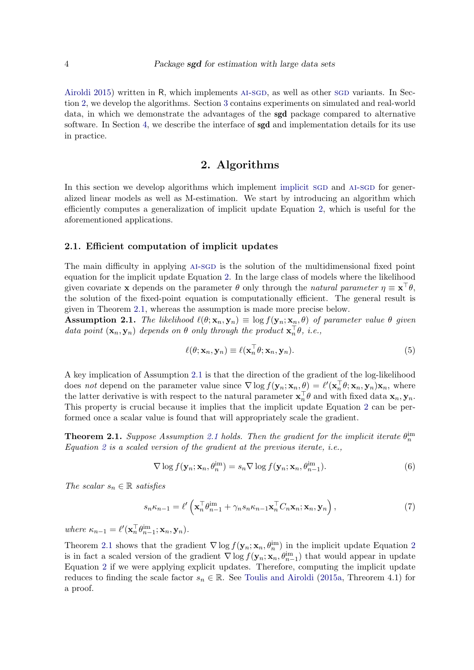[Airoldi](#page-22-8) [2015\)](#page-22-8) written in R, which implements AI-SGD, as well as other SGD variants. In Section [2,](#page-3-0) we develop the algorithms. Section [3](#page-7-0) contains experiments on simulated and real-world data, in which we demonstrate the advantages of the sgd package compared to alternative software. In Section [4,](#page-14-0) we describe the interface of **sgd** and implementation details for its use in practice.

### 2. Algorithms

<span id="page-3-0"></span>In this section we develop algorithms which implement [implicit](#page-0-0) sgD and AI-SGD for generalized linear models as well as M-estimation. We start by introducing an algorithm which efficiently computes a generalization of implicit update Equation [2,](#page-2-0) which is useful for the aforementioned applications.

#### 2.1. Efficient computation of implicit updates

The main difficulty in applying AI-SGD is the solution of the multidimensional fixed point equation for the implicit update Equation [2.](#page-2-0) In the large class of models where the likelihood given covariate **x** depends on the parameter  $\theta$  only through the natural parameter  $\eta \equiv \mathbf{x}^\top \theta$ , the solution of the fixed-point equation is computationally efficient. The general result is given in Theorem [2.1,](#page-3-1) whereas the assumption is made more precise below.

<span id="page-3-2"></span>**Assumption 2.1.** The likelihood  $\ell(\theta; \mathbf{x}_n, \mathbf{y}_n) \equiv \log f(\mathbf{y}_n; \mathbf{x}_n, \theta)$  of parameter value  $\theta$  given data point  $(\mathbf{x}_n, \mathbf{y}_n)$  depends on  $\theta$  only through the product  $\mathbf{x}_n^{\top} \theta$ , i.e.,

$$
\ell(\theta; \mathbf{x}_n, \mathbf{y}_n) \equiv \ell(\mathbf{x}_n^\top \theta; \mathbf{x}_n, \mathbf{y}_n). \tag{5}
$$

A key implication of Assumption [2.1](#page-3-2) is that the direction of the gradient of the log-likelihood does not depend on the parameter value since  $\nabla \log f(\mathbf{y}_n; \mathbf{x}_n, \underline{\theta}) = \ell'(\mathbf{x}_n^{\top} \theta; \mathbf{x}_n, \mathbf{y}_n) \mathbf{x}_n$ , where the latter derivative is with respect to the natural parameter  $\mathbf{x}_n^{\top} \theta$  and with fixed data  $\mathbf{x}_n, \mathbf{y}_n$ . This property is crucial because it implies that the implicit update Equation [2](#page-2-0) can be performed once a scalar value is found that will appropriately scale the gradient.

<span id="page-3-1"></span>**Theorem [2.1](#page-3-2).** Suppose Assumption 2.1 holds. Then the gradient for the implicit iterate  $\theta_n^{\text{im}}$ Equation [2](#page-2-0) is a scaled version of the gradient at the previous iterate, i.e.,

$$
\nabla \log f(\mathbf{y}_n; \mathbf{x}_n, \theta_n^{\text{im}}) = s_n \nabla \log f(\mathbf{y}_n; \mathbf{x}_n, \theta_{n-1}^{\text{im}}).
$$
\n(6)

The scalar  $s_n \in \mathbb{R}$  satisfies

$$
s_n \kappa_{n-1} = \ell' \left( \mathbf{x}_n^\top \theta_{n-1}^{\text{im}} + \gamma_n s_n \kappa_{n-1} \mathbf{x}_n^\top C_n \mathbf{x}_n; \mathbf{x}_n, \mathbf{y}_n \right), \tag{7}
$$

where  $\kappa_{n-1} = \ell'(\mathbf{x}_n^{\top} \theta_{n-1}^{\text{im}}; \mathbf{x}_n, \mathbf{y}_n).$ 

Theorem [2.1](#page-3-1) shows that the gradient  $\nabla$  log  $f(\mathbf{y}_n; \mathbf{x}_n, \theta_n^{\text{im}})$  in the implicit update Equation [2](#page-2-0) is in fact a scaled version of the gradient  $\nabla$  log  $f(\mathbf{y}_n; \mathbf{x}_n, \theta_{n-1}^{\text{im}})$  that would appear in update Equation [2](#page-2-0) if we were applying explicit updates. Therefore, computing the implicit update reduces to finding the scale factor  $s_n \in \mathbb{R}$ . See [Toulis and Airoldi](#page-22-4) [\(2015a,](#page-22-4) Threorem 4.1) for a proof.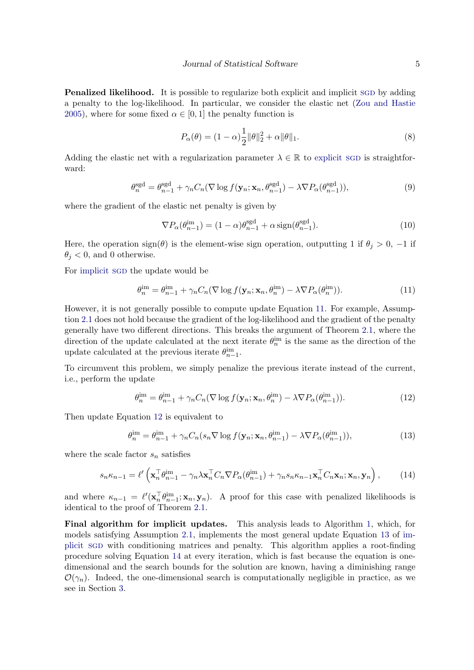**Penalized likelihood.** It is possible to regularize both explicit and implicit SGD by adding a penalty to the log-likelihood. In particular, we consider the elastic net [\(Zou and Hastie](#page-23-0) [2005\)](#page-23-0), where for some fixed  $\alpha \in [0,1]$  the penalty function is

$$
P_{\alpha}(\theta) = (1 - \alpha) \frac{1}{2} ||\theta||_2^2 + \alpha ||\theta||_1.
$$
\n(8)

Adding the elastic net with a regularization parameter  $\lambda \in \mathbb{R}$  to [explicit](#page-0-0) sq is straightforward:

$$
\theta_n^{\text{sgd}} = \theta_{n-1}^{\text{sgd}} + \gamma_n C_n (\nabla \log f(\mathbf{y}_n; \mathbf{x}_n, \theta_{n-1}^{\text{sgd}}) - \lambda \nabla P_\alpha(\theta_{n-1}^{\text{sgd}})),\tag{9}
$$

where the gradient of the elastic net penalty is given by

<span id="page-4-0"></span>
$$
\nabla P_{\alpha}(\theta_{n-1}^{\text{im}}) = (1 - \alpha)\theta_{n-1}^{\text{sgd}} + \alpha \operatorname{sign}(\theta_{n-1}^{\text{sgd}}). \tag{10}
$$

Here, the operation sign( $\theta$ ) is the element-wise sign operation, outputting 1 if  $\theta_j > 0$ , -1 if  $\theta_j < 0$ , and 0 otherwise.

For [implicit](#page-0-0) sqp the update would be

$$
\theta_n^{\text{im}} = \theta_{n-1}^{\text{im}} + \gamma_n C_n (\nabla \log f(\mathbf{y}_n; \mathbf{x}_n, \theta_n^{\text{im}}) - \lambda \nabla P_\alpha(\theta_n^{\text{im}})). \tag{11}
$$

However, it is not generally possible to compute update Equation [11.](#page-4-0) For example, Assumption [2.1](#page-3-2) does not hold because the gradient of the log-likelihood and the gradient of the penalty generally have two different directions. This breaks the argument of Theorem [2.1,](#page-3-1) where the direction of the update calculated at the next iterate  $\theta_n^{\text{im}}$  is the same as the direction of the update calculated at the previous iterate  $\theta_{n-1}^{\text{im}}$ .

To circumvent this problem, we simply penalize the previous iterate instead of the current, i.e., perform the update

<span id="page-4-2"></span><span id="page-4-1"></span>
$$
\theta_n^{\text{im}} = \theta_{n-1}^{\text{im}} + \gamma_n C_n (\nabla \log f(\mathbf{y}_n; \mathbf{x}_n, \theta_n^{\text{im}}) - \lambda \nabla P_\alpha(\theta_{n-1}^{\text{im}})). \tag{12}
$$

Then update Equation [12](#page-4-1) is equivalent to

<span id="page-4-3"></span>
$$
\theta_n^{\text{im}} = \theta_{n-1}^{\text{im}} + \gamma_n C_n (s_n \nabla \log f(\mathbf{y}_n; \mathbf{x}_n, \theta_{n-1}^{\text{im}})) - \lambda \nabla P_\alpha(\theta_{n-1}^{\text{im}})),\tag{13}
$$

where the scale factor  $s_n$  satisfies

$$
s_n \kappa_{n-1} = \ell' \left( \mathbf{x}_n^\top \theta_{n-1}^{\text{im}} - \gamma_n \lambda \mathbf{x}_n^\top C_n \nabla P_\alpha(\theta_{n-1}^{\text{im}}) + \gamma_n s_n \kappa_{n-1} \mathbf{x}_n^\top C_n \mathbf{x}_n; \mathbf{x}_n, \mathbf{y}_n \right), \tag{14}
$$

and where  $\kappa_{n-1} = \ell'(\mathbf{x}_n^{\top} \theta_{n-1}^{\text{im}}; \mathbf{x}_n, \mathbf{y}_n)$ . A proof for this case with penalized likelihoods is identical to the proof of Theorem [2.1.](#page-3-1)

Final algorithm for implicit updates. This analysis leads to Algorithm [1,](#page-5-0) which, for models satisfying Assumption [2.1,](#page-3-2) implements the most general update Equation [13](#page-4-2) of [im](#page-0-0)[plicit](#page-0-0) sgd with conditioning matrices and penalty. This algorithm applies a root-finding procedure solving Equation [14](#page-4-3) at every iteration, which is fast because the equation is onedimensional and the search bounds for the solution are known, having a diminishing range  $\mathcal{O}(\gamma_n)$ . Indeed, the one-dimensional search is computationally negligible in practice, as we see in Section [3.](#page-7-0)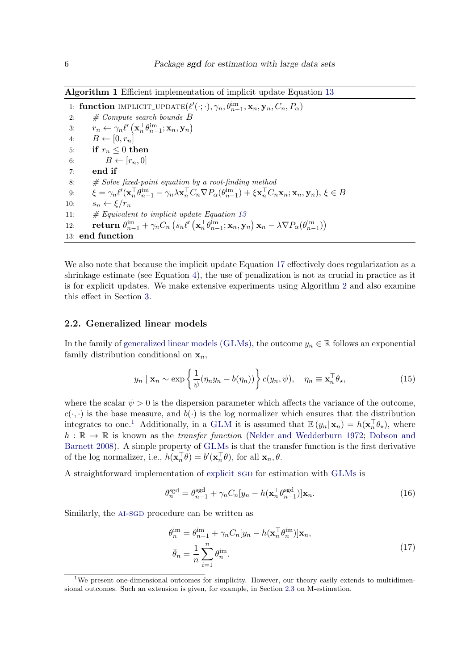<span id="page-5-0"></span>Algorithm 1 Efficient implementation of implicit update Equation [13](#page-4-2)

```
1: function IMPLICIT_UPDATE(\ell'(\cdot;\cdot), \gamma_n, \theta_{n-1}^{\text{im}}, \mathbf{x}_n, \mathbf{y}_n, C_n, P_\alpha)2: \# Compute search bounds B3: r_n \leftarrow \gamma_n \ell' \left( \mathbf{x}_n^\top \theta_{n-1}^{\text{im}}; \mathbf{x}_n, \mathbf{y}_n \right)4: B \leftarrow [0, r_n]5: if r_n \leq 0 then
  6: B \leftarrow [r_n, 0]7: end if
  8: \# Solve \ fixed-point \ equation \ by \ a \ root-finding \ method9: \xi = \gamma_n \ell'(\mathbf{x}_n^\top \theta_{n-1}^{\text{im}} - \gamma_n \lambda \mathbf{x}_n^\top C_n \nabla P_\alpha(\theta_{n-1}^{\text{im}}) + \xi \mathbf{x}_n^\top C_n \mathbf{x}_n; \mathbf{x}_n, \mathbf{y}_n), \xi \in B10: s_n \leftarrow \xi/r_n11: \#13
12: return \theta_{n-1}^{\text{im}} + \gamma_n C_n \left( s_n \ell' \left( \mathbf{x}_n^{\top} \theta_{n-1}^{\text{im}}; \mathbf{x}_n, \mathbf{y}_n \right) \mathbf{x}_n - \lambda \nabla P_\alpha(\theta_{n-1}^{\text{im}}) \right)13: end function
```
We also note that because the implicit update Equation [17](#page-5-1) effectively does regularization as a shrinkage estimate (see Equation [4\)](#page-2-1), the use of penalization is not as crucial in practice as it is for explicit updates. We make extensive experiments using Algorithm [2](#page-6-0) and also examine this effect in Section [3.](#page-7-0)

#### 2.2. Generalized linear models

In the family of [generalized linear models \(](#page-0-0)GLMs), the outcome  $y_n \in \mathbb{R}$  follows an exponential family distribution conditional on  $x_n$ ,

$$
y_n \mid \mathbf{x}_n \sim \exp\left\{\frac{1}{\psi}(\eta_n y_n - b(\eta_n))\right\} c(y_n, \psi), \quad \eta_n \equiv \mathbf{x}_n^\top \theta_\star,
$$
 (15)

where the scalar  $\psi > 0$  is the dispersion parameter which affects the variance of the outcome,  $c(\cdot, \cdot)$  is the base measure, and  $b(\cdot)$  is the log normalizer which ensures that the distribution integrates to one.<sup>[1](#page-5-2)</sup> Additionally, in a [GLM](#page-0-0) it is assumed that  $\mathbb{E}(y_n|\mathbf{x}_n) = h(\mathbf{x}_n^{\top}\theta_{\star})$ , where  $h : \mathbb{R} \to \mathbb{R}$  is known as the *transfer function* [\(Nelder and Wedderburn](#page-21-4) [1972;](#page-21-4) [Dobson and](#page-19-2) [Barnett](#page-19-2) [2008\)](#page-19-2). A simple property of [GLM](#page-0-0)s is that the transfer function is the first derivative of the log normalizer, i.e.,  $h(\mathbf{x}_n^{\top}\theta) = b'(\mathbf{x}_n^{\top}\theta)$ , for all  $\mathbf{x}_n, \theta$ .

A straightforward implementation of [explicit](#page-0-0) sgD for estimation with [GLM](#page-0-0)s is

$$
\theta_n^{\text{sgd}} = \theta_{n-1}^{\text{sgd}} + \gamma_n C_n [y_n - h(\mathbf{x}_n^{\top} \theta_{n-1}^{\text{sgd}})] \mathbf{x}_n. \tag{16}
$$

Similarly, the AI-SGD procedure can be written as

<span id="page-5-1"></span>
$$
\theta_n^{\text{im}} = \theta_{n-1}^{\text{im}} + \gamma_n C_n [y_n - h(\mathbf{x}_n^{\top} \theta_n^{\text{im}})] \mathbf{x}_n,
$$
  
\n
$$
\bar{\theta}_n = \frac{1}{n} \sum_{i=1}^n \theta_n^{\text{im}}.
$$
\n(17)

<span id="page-5-2"></span><sup>&</sup>lt;sup>1</sup>We present one-dimensional outcomes for simplicity. However, our theory easily extends to multidimensional outcomes. Such an extension is given, for example, in Section [2.3](#page-6-1) on M-estimation.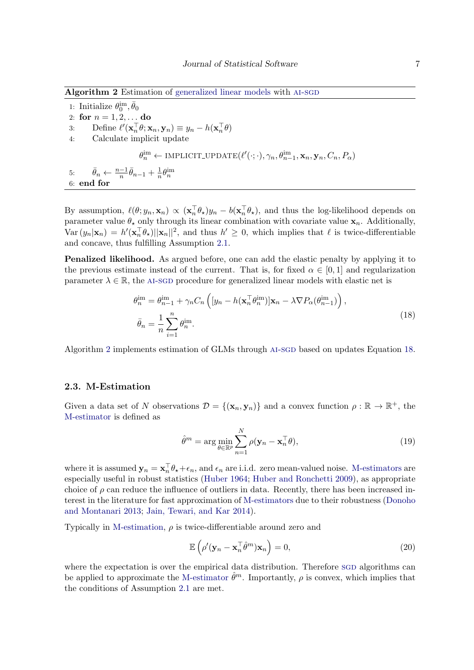<span id="page-6-0"></span>Algorithm 2 Estimation of [generalized linear models](#page-0-0) with AI-SGD

1: Initialize  $\theta_0^{\text{im}}, \bar{\theta}_0$ 2: for  $n = 1, 2, ...$  do 3: Define  $\ell'(\mathbf{x}_n^{\top} \theta; \mathbf{x}_n, \mathbf{y}_n) \equiv y_n - h(\mathbf{x}_n^{\top} \theta)$ 4: Calculate implicit update  $\theta_n^{\text{im}} \leftarrow \text{IMPLICIT\_UPDATE}(\ell'(\cdot; \cdot), \gamma_n, \theta_{n-1}^{\text{im}}, \mathbf{x}_n, \mathbf{y}_n, C_n, P_\alpha)$ 5:  $\bar{\theta}_n \leftarrow \frac{n-1}{n} \bar{\theta}_{n-1} + \frac{1}{n}$  $\frac{1}{n}\theta_{n}^{\text{im}}$ 6: end for

By assumption,  $\ell(\theta; y_n, \mathbf{x}_n) \propto (\mathbf{x}_n^\top \theta_\star) y_n - b(\mathbf{x}_n^\top \theta_\star)$ , and thus the log-likelihood depends on parameter value  $\theta_{\star}$  only through its linear combination with covariate value  $x_n$ . Additionally,  $\text{Var}(y_n|\mathbf{x}_n) = h'(\mathbf{x}_n^{\top} \theta_\star) ||\mathbf{x}_n||^2$ , and thus  $h' \geq 0$ , which implies that  $\ell$  is twice-differentiable and concave, thus fulfilling Assumption [2.1.](#page-3-2)

Penalized likelihood. As argued before, one can add the elastic penalty by applying it to the previous estimate instead of the current. That is, for fixed  $\alpha \in [0,1]$  and regularization parameter  $\lambda \in \mathbb{R}$ , the AI-SGD procedure for generalized linear models with elastic net is

$$
\theta_n^{\text{im}} = \theta_{n-1}^{\text{im}} + \gamma_n C_n \left( [y_n - h(\mathbf{x}_n^\top \theta_n^{\text{im}})] \mathbf{x}_n - \lambda \nabla P_\alpha(\theta_{n-1}^{\text{im}}) \right),
$$
  
\n
$$
\bar{\theta}_n = \frac{1}{n} \sum_{i=1}^n \theta_n^{\text{im}}.
$$
\n(18)

Algorithm [2](#page-6-0) implements estimation of GLMs through AI-SGD based on updates Equation [18.](#page-6-2)

### <span id="page-6-1"></span>2.3. M-Estimation

Given a data set of N observations  $\mathcal{D} = \{(\mathbf{x}_n, \mathbf{y}_n)\}\$ and a convex function  $\rho : \mathbb{R} \to \mathbb{R}^+$ , the [M-estimator](#page-0-0) is defined as

<span id="page-6-2"></span>
$$
\hat{\theta}^m = \arg\min_{\theta \in \mathbb{R}^p} \sum_{n=1}^N \rho(\mathbf{y}_n - \mathbf{x}_n^\top \theta),\tag{19}
$$

where it is assumed  $y_n = x_n^\top \theta_\star + \epsilon_n$ , and  $\epsilon_n$  are i.i.d. zero mean-valued noise. [M-estimators](#page-0-0) are especially useful in robust statistics [\(Huber](#page-20-3) [1964;](#page-20-3) [Huber and Ronchetti](#page-20-4) [2009\)](#page-20-4), as appropriate choice of  $\rho$  can reduce the influence of outliers in data. Recently, there has been increased interest in the literature for fast approximation of [M-estimators](#page-0-0) due to their robustness [\(Donoho](#page-19-3) [and Montanari](#page-19-3) [2013;](#page-19-3) [Jain, Tewari, and Kar](#page-20-5) [2014\)](#page-20-5).

Typically in [M-estimation,](#page-0-0)  $\rho$  is twice-differentiable around zero and

$$
\mathbb{E}\left(\rho'(\mathbf{y}_n - \mathbf{x}_n^\top \hat{\theta}^m) \mathbf{x}_n\right) = 0,\tag{20}
$$

where the expectation is over the empirical data distribution. Therefore SGD algorithms can be applied to approximate the [M-estimator](#page-0-0)  $\hat{\theta}^m$ . Importantly,  $\rho$  is convex, which implies that the conditions of Assumption [2.1](#page-3-2) are met.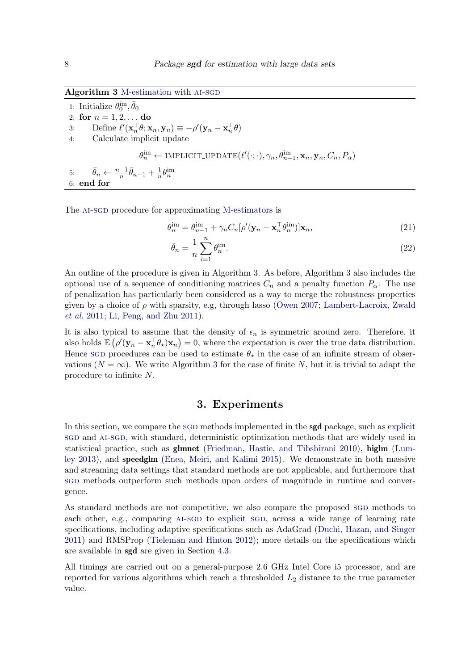<span id="page-7-1"></span>

|  | Algorithm 3 M-estimation with AI-SGD |  |  |
|--|--------------------------------------|--|--|
|--|--------------------------------------|--|--|

1: Initialize  $\theta_0^{\text{im}}, \bar{\theta}_0$ 2: for  $n = 1, 2, ...$  do 3: Define  $\ell'(\mathbf{x}_n^{\top} \theta; \mathbf{x}_n, \mathbf{y}_n) \equiv -\rho'(\mathbf{y}_n - \mathbf{x}_n^{\top} \theta)$ 4: Calculate implicit update  $\theta_n^{\text{im}} \leftarrow \text{IMPLICIT\_UPDATE}(\ell'(\cdot; \cdot), \gamma_n, \theta_{n-1}^{\text{im}}, \mathbf{x}_n, \mathbf{y}_n, C_n, P_\alpha)$ 5:  $\bar{\theta}_n \leftarrow \frac{n-1}{n} \bar{\theta}_{n-1} + \frac{1}{n}$  $\frac{1}{n}\theta_{n}^{\text{im}}$ 6: end for

The AI-SGD procedure for approximating [M-estimators](#page-0-0) is

$$
\theta_n^{\text{im}} = \theta_{n-1}^{\text{im}} + \gamma_n C_n [\rho'(\mathbf{y}_n - \mathbf{x}_n^\top \theta_n^{\text{im}})] \mathbf{x}_n,\tag{21}
$$

$$
\bar{\theta}_n = \frac{1}{n} \sum_{i=1}^n \theta_n^{\text{im}}.
$$
\n(22)

An outline of the procedure is given in Algorithm [3.](#page-7-1) As before, Algorithm [3](#page-7-1) also includes the optional use of a sequence of conditioning matrices  $C_n$  and a penalty function  $P_\alpha$ . The use of penalization has particularly been considered as a way to merge the robustness properties given by a choice of  $\rho$  with sparsity, e.g, through lasso [\(Owen](#page-21-5) [2007;](#page-21-5) [Lambert-Lacroix, Zwald](#page-21-6) [et al.](#page-21-6) [2011;](#page-21-6) [Li, Peng, and Zhu](#page-21-7) [2011\)](#page-21-7).

It is also typical to assume that the density of  $\epsilon_n$  is symmetric around zero. Therefore, it also holds  $\mathbb{E} \left( \rho'(\mathbf{y}_n - \mathbf{x}_n^{\top} \theta_\star) \mathbf{x}_n \right) = 0$ , where the expectation is over the true data distribution. Hence sgD procedures can be used to estimate  $\theta_{\star}$  in the case of an infinite stream of observations  $(N = \infty)$ . We write Algorithm [3](#page-7-1) for the case of finite N, but it is trivial to adapt the procedure to infinite N.

### 3. Experiments

<span id="page-7-0"></span>In this section, we compare the SGD methods implemented in the **[sgd](#page-0-0)** package, such as [explicit](#page-0-0) [sgd](#page-0-0) and [ai-sgd](#page-0-0), with standard, deterministic optimization methods that are widely used in statistical practice, such as glmnet [\(Friedman, Hastie, and Tibshirani](#page-20-6) [2010\)](#page-20-6), biglm [\(Lum](#page-21-8)[ley](#page-21-8) [2013\)](#page-21-8), and speedglm [\(Enea, Meiri, and Kalimi](#page-20-7) [2015\)](#page-20-7). We demonstrate in both massive and streaming data settings that standard methods are not applicable, and furthermore that [sgd](#page-0-0) methods outperform such methods upon orders of magnitude in runtime and convergence.

As standard methods are not competitive, we also compare the proposed SGD methods to each other, e.g., comparing AI-SGD to [explicit](#page-0-0) SGD, across a wide range of learning rate specifications, including adaptive specifications such as AdaGrad [\(Duchi, Hazan, and Singer](#page-19-4) [2011\)](#page-19-4) and RMSProp [\(Tieleman and Hinton](#page-22-9) [2012\)](#page-22-9); more details on the specifications which are available in sgd are given in Section [4.3.](#page-15-0)

All timings are carried out on a general-purpose 2.6 GHz Intel Core i5 processor, and are reported for various algorithms which reach a thresholded  $L_2$  distance to the true parameter value.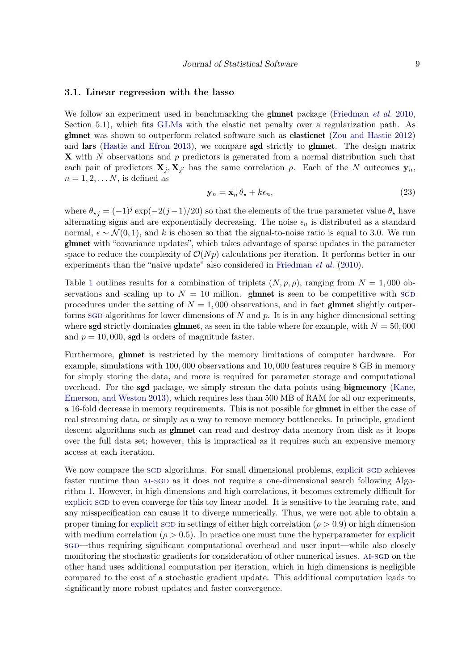#### 3.1. Linear regression with the lasso

We follow an experiment used in benchmarking the **glmnet** package [\(Friedman](#page-20-6) *et al.* [2010,](#page-20-6) Section 5.1), which fits [GLM](#page-0-0)s with the elastic net penalty over a regularization path. As glmnet was shown to outperform related software such as elasticnet [\(Zou and Hastie](#page-23-1) [2012\)](#page-23-1) and lars [\(Hastie and Efron](#page-20-8) [2013\)](#page-20-8), we compare sgd strictly to glmnet. The design matrix  $\bf{X}$  with N observations and p predictors is generated from a normal distribution such that each pair of predictors  $\mathbf{X}_j, \mathbf{X}_{j'}$  has the same correlation  $\rho$ . Each of the N outcomes  $\mathbf{y}_n$ ,  $n = 1, 2, \ldots N$ , is defined as

$$
\mathbf{y}_n = \mathbf{x}_n^\top \theta_\star + k\epsilon_n,\tag{23}
$$

where  $\theta_{\star j} = (-1)^j \exp(-2(j-1)/20)$  so that the elements of the true parameter value  $\theta_{\star}$  have alternating signs and are exponentially decreasing. The noise  $\epsilon_n$  is distributed as a standard normal,  $\epsilon \sim \mathcal{N}(0, 1)$ , and k is chosen so that the signal-to-noise ratio is equal to 3.0. We run glmnet with "covariance updates", which takes advantage of sparse updates in the parameter space to reduce the complexity of  $\mathcal{O}(Np)$  calculations per iteration. It performs better in our experiments than the "naive update" also considered in [Friedman](#page-20-6) *et al.* [\(2010\)](#page-20-6).

Table [1](#page-9-0) outlines results for a combination of triplets  $(N, p, \rho)$ , ranging from  $N = 1,000$  observations and scaling up to  $N = 10$  million. **glmnet** is seen to be competitive with sgp procedures under the setting of  $N = 1,000$  observations, and in fact glmnet slightly outperforms sgD algorithms for lower dimensions of N and p. It is in any higher dimensional setting where **sgd** strictly dominates **glmnet**, as seen in the table where for example, with  $N = 50,000$ and  $p = 10,000$ , sgd is orders of magnitude faster.

Furthermore, glmnet is restricted by the memory limitations of computer hardware. For example, simulations with 100, 000 observations and 10, 000 features require 8 GB in memory for simply storing the data, and more is required for parameter storage and computational overhead. For the sgd package, we simply stream the data points using bigmemory [\(Kane,](#page-20-9) [Emerson, and Weston](#page-20-9) [2013\)](#page-20-9), which requires less than 500 MB of RAM for all our experiments, a 16-fold decrease in memory requirements. This is not possible for glmnet in either the case of real streaming data, or simply as a way to remove memory bottlenecks. In principle, gradient descent algorithms such as **glmnet** can read and destroy data memory from disk as it loops over the full data set; however, this is impractical as it requires such an expensive memory access at each iteration.

We now compare the sgp algorithms. For small dimensional problems, [explicit](#page-0-0) sgp achieves faster runtime than AI-SGD as it does not require a one-dimensional search following Algorithm [1.](#page-5-0) However, in high dimensions and high correlations, it becomes extremely difficult for [explicit](#page-0-0) sgd to even converge for this toy linear model. It is sensitive to the learning rate, and any misspecification can cause it to diverge numerically. Thus, we were not able to obtain a proper timing for [explicit](#page-0-0) sgD in settings of either high correlation ( $\rho > 0.9$ ) or high dimension with medium correlation ( $\rho > 0.5$ ). In practice one must tune the hyperparameter for [explicit](#page-0-0) sgD—thus requiring significant computational overhead and user input—while also closely monitoring the stochastic gradients for consideration of other numerical issues. AI-SGD on the other hand uses additional computation per iteration, which in high dimensions is negligible compared to the cost of a stochastic gradient update. This additional computation leads to significantly more robust updates and faster convergence.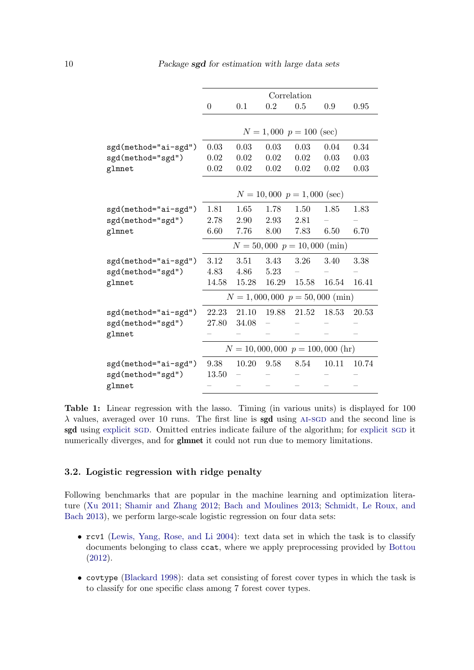<span id="page-9-0"></span>

|                             | Correlation    |       |       |                                   |       |       |
|-----------------------------|----------------|-------|-------|-----------------------------------|-------|-------|
|                             | $\overline{0}$ | 0.1   | 0.2   | 0.5                               | 0.9   | 0.95  |
|                             |                |       |       |                                   |       |       |
|                             |                |       |       | $N = 1,000 p = 100$ (sec)         |       |       |
| sgd(method="ai-sgd")        | 0.03           | 0.03  | 0.03  | 0.03                              | 0.04  | 0.34  |
| sgd(method="sgd")           | 0.02           | 0.02  | 0.02  | 0.02                              | 0.03  | 0.03  |
| glmnet                      | 0.02           | 0.02  | 0.02  | 0.02                              | 0.02  | 0.03  |
|                             |                |       |       |                                   |       |       |
|                             |                |       |       | $N = 10,000 p = 1,000$ (sec)      |       |       |
| sgd(method="ai-sgd")        | 1.81           | 1.65  | 1.78  | 1.50                              | 1.85  | 1.83  |
| sgd(method="sgd")           | 2.78           | 2.90  | 2.93  | 2.81                              |       |       |
| glmnet                      | 6.60           | 7.76  | 8.00  | 7.83                              | 6.50  | 6.70  |
|                             |                |       |       | $N = 50,000 p = 10,000 (min)$     |       |       |
| sgd(method="ai-sgd")        | 3.12           | 3.51  | 3.43  | 3.26                              | 3.40  | 3.38  |
| sgd(method="sgd")<br>glmnet | 4.83           | 4.86  | 5.23  |                                   |       |       |
|                             | 14.58          | 15.28 | 16.29 | 15.58                             | 16.54 | 16.41 |
|                             |                |       |       | $N = 1,000,000 p = 50,000 (min)$  |       |       |
| sgd(method="ai-sgd")        | 22.23          | 21.10 | 19.88 | 21.52                             | 18.53 | 20.53 |
| sgd(method="sgd")<br>glmnet | 27.80          | 34.08 |       |                                   |       |       |
|                             |                |       |       |                                   |       |       |
|                             |                |       |       | $N = 10,000,000 p = 100,000 (hr)$ |       |       |
| sgd(method="ai-sgd")        | 9.38           | 10.20 | 9.58  | 8.54                              | 10.11 | 10.74 |
| sgd(method="sgd")           | 13.50          |       |       |                                   |       |       |
| glmnet                      |                |       |       |                                   |       |       |
|                             |                |       |       |                                   |       |       |

Table 1: Linear regression with the lasso. Timing (in various units) is displayed for 100  $\lambda$  values, averaged over 10 runs. The first line is sgd using AI-SGD and the second line is sgd using [explicit](#page-0-0) sgd. Omitted entries indicate failure of the algorithm; for explicit sgd it numerically diverges, and for **glmnet** it could not run due to memory limitations.

### 3.2. Logistic regression with ridge penalty

Following benchmarks that are popular in the machine learning and optimization literature [\(Xu](#page-23-2) [2011;](#page-23-2) [Shamir and Zhang](#page-22-10) [2012;](#page-22-10) [Bach and Moulines](#page-19-5) [2013;](#page-19-5) [Schmidt, Le Roux, and](#page-22-11) [Bach](#page-22-11) [2013\)](#page-22-11), we perform large-scale logistic regression on four data sets:

- rcv1 [\(Lewis, Yang, Rose, and Li](#page-21-9) [2004\)](#page-21-9): text data set in which the task is to classify documents belonging to class ccat, where we apply preprocessing provided by [Bottou](#page-19-6) [\(2012\)](#page-19-6).
- covtype [\(Blackard](#page-19-7) [1998\)](#page-19-7): data set consisting of forest cover types in which the task is to classify for one specific class among 7 forest cover types.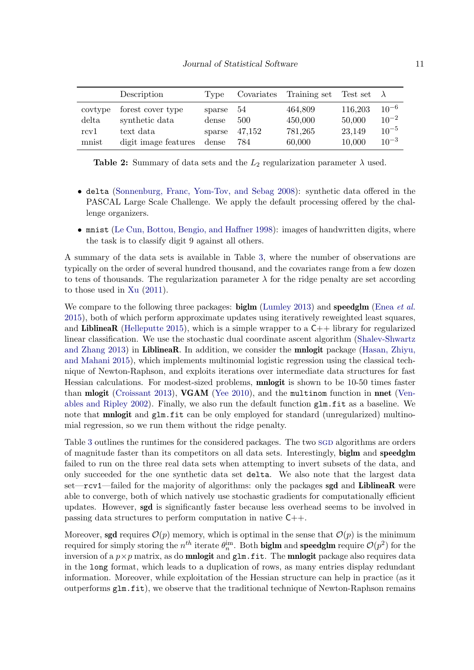|                  | Description                         | 'Type           | Covariates | Training set       | Test set          |                        |
|------------------|-------------------------------------|-----------------|------------|--------------------|-------------------|------------------------|
| covtype<br>delta | forest cover type<br>synthetic data | sparse<br>dense | 54<br>500  | 464,809<br>450,000 | 116,203<br>50,000 | $10^{-6}$<br>$10^{-2}$ |
| rcy1             | text data                           | sparse          | 47.152     | 781,265            | 23,149            | $10^{-5}$              |
| mnist            | digit image features                | dense           | 784        | 60,000             | 10,000            | $10^{-3}$              |

**Table 2:** Summary of data sets and the  $L_2$  regularization parameter  $\lambda$  used.

- delta [\(Sonnenburg, Franc, Yom-Tov, and Sebag](#page-22-12) [2008\)](#page-22-12): synthetic data offered in the PASCAL Large Scale Challenge. We apply the default processing offered by the challenge organizers.
- mnist [\(Le Cun, Bottou, Bengio, and Haffner](#page-21-10) [1998\)](#page-21-10): images of handwritten digits, where the task is to classify digit 9 against all others.

A summary of the data sets is available in Table [3,](#page-11-0) where the number of observations are typically on the order of several hundred thousand, and the covariates range from a few dozen to tens of thousands. The regularization parameter  $\lambda$  for the ridge penalty are set according to those used in [Xu](#page-23-2) [\(2011\)](#page-23-2).

We compare to the following three packages: **biglm** [\(Lumley](#page-21-8) [2013\)](#page-21-8) and **speedglm** [\(Enea](#page-20-7) *et al.*) [2015\)](#page-20-7), both of which perform approximate updates using iteratively reweighted least squares, and LiblineaR [\(Helleputte](#page-20-10) [2015\)](#page-20-10), which is a simple wrapper to a  $C_{++}$  library for regularized linear classification. We use the stochastic dual coordinate ascent algorithm [\(Shalev-Shwartz](#page-22-13) [and Zhang](#page-22-13) [2013\)](#page-22-13) in LiblineaR. In addition, we consider the mnlogit package [\(Hasan, Zhiyu,](#page-20-11) [and Mahani](#page-20-11) [2015\)](#page-20-11), which implements multinomial logistic regression using the classical technique of Newton-Raphson, and exploits iterations over intermediate data structures for fast Hessian calculations. For modest-sized problems, mnlogit is shown to be 10-50 times faster than mlogit [\(Croissant](#page-19-8) [2013\)](#page-19-8), VGAM [\(Yee](#page-23-3) [2010\)](#page-23-3), and the multinom function in nnet [\(Ven](#page-22-14)[ables and Ripley](#page-22-14) [2002\)](#page-22-14). Finally, we also run the default function glm.fit as a baseline. We note that **mnlogit** and  $g \ln f$  it can be only employed for standard (unregularized) multinomial regression, so we run them without the ridge penalty.

Table [3](#page-11-0) outlines the runtimes for the considered packages. The two sgD algorithms are orders of magnitude faster than its competitors on all data sets. Interestingly, biglm and speedglm failed to run on the three real data sets when attempting to invert subsets of the data, and only succeeded for the one synthetic data set delta. We also note that the largest data set—rcv1—failed for the majority of algorithms: only the packages sgd and LiblineaR were able to converge, both of which natively use stochastic gradients for computationally efficient updates. However, sgd is significantly faster because less overhead seems to be involved in passing data structures to perform computation in native C++.

Moreover, sgd requires  $\mathcal{O}(p)$  memory, which is optimal in the sense that  $\mathcal{O}(p)$  is the minimum required for simply storing the  $n^{th}$  iterate  $\theta_n^{\text{im}}$ . Both **biglm** and **speedglm** require  $\mathcal{O}(p^2)$  for the inversion of a  $p \times p$  matrix, as do **mnlogit** and  $g \text{1m.fit}$ . The **mnlogit** package also requires data in the long format, which leads to a duplication of rows, as many entries display redundant information. Moreover, while exploitation of the Hessian structure can help in practice (as it outperforms glm.fit), we observe that the traditional technique of Newton-Raphson remains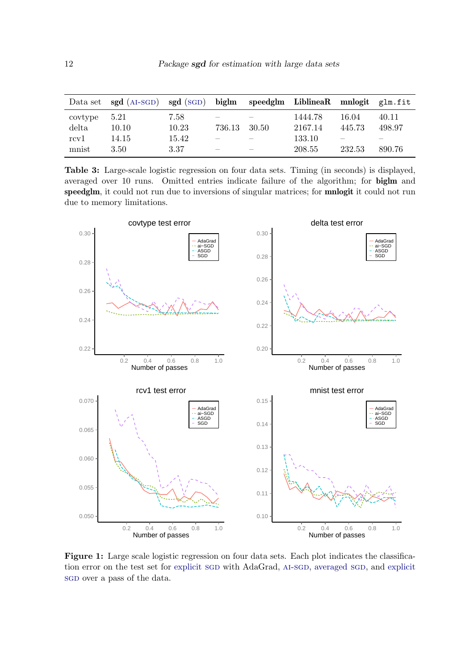<span id="page-11-0"></span>

|         | Data set sgd (AI-SGD) sgd (SGD) biglm speedglm LiblineaR mnlogit glm.fit |       |                          |         |        |        |
|---------|--------------------------------------------------------------------------|-------|--------------------------|---------|--------|--------|
| covtype | 5.21                                                                     | 7.58  |                          | 1444.78 | 16.04  | 40.11  |
| delta   | 10.10                                                                    | 10.23 | 736.13 30.50             | 2167.14 | 445.73 | 498.97 |
| rcy1    | 14.15                                                                    | 15.42 |                          | 133.10  |        |        |
| mnist   | 3.50                                                                     | 3.37  | $\overline{\phantom{a}}$ | 208.55  | 232.53 | 890.76 |

Table 3: Large-scale logistic regression on four data sets. Timing (in seconds) is displayed, averaged over 10 runs. Omitted entries indicate failure of the algorithm; for biglm and speedglm, it could not run due to inversions of singular matrices; for mnlogit it could not run due to memory limitations.



Figure 1: Large scale logistic regression on four data sets. Each plot indicates the classification error on the test set for [explicit](#page-0-0) SGD with AdaGrad, AI-SGD, [averaged](#page-0-0) SGD, and explicit sgD over a pass of the data.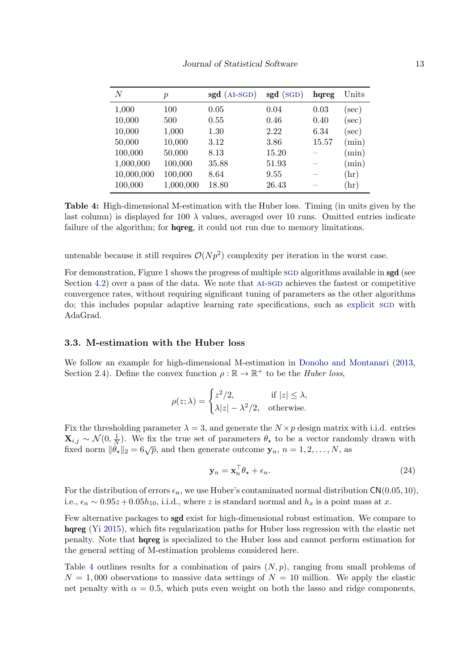<span id="page-12-0"></span>

| $\,N$      | $\boldsymbol{p}$ | $sgd$ (AI-SGD) | $sgd$ (SGD) | hqreg | Units    |
|------------|------------------|----------------|-------------|-------|----------|
| 1,000      | 100              | 0.05           | 0.04        | 0.03  | $(\sec)$ |
| 10,000     | 500              | 0.55           | 0.46        | 0.40  | $(\sec)$ |
| 10,000     | 1,000            | 1.30           | 2.22        | 6.34  | $(\sec)$ |
| 50,000     | 10,000           | 3.12           | 3.86        | 15.57 | (min)    |
| 100,000    | 50,000           | 8.13           | 15.20       |       | (min)    |
| 1,000,000  | 100,000          | 35.88          | 51.93       |       | (min)    |
| 10,000,000 | 100,000          | 8.64           | 9.55        |       | (hr)     |
| 100,000    | 1,000,000        | 18.80          | 26.43       |       | (hr)     |

Table 4: High-dimensional M-estimation with the Huber loss. Timing (in units given by the last column) is displayed for 100  $\lambda$  values, averaged over 10 runs. Omitted entries indicate failure of the algorithm; for **hqreg**, it could not run due to memory limitations.

untenable because it still requires  $\mathcal{O}(Np^2)$  complexity per iteration in the worst case.

For demonstration, Figure [1](#page-11-0) shows the progress of multiple SGD algorithms available in **[sgd](#page-0-0)** (see Section  $4.2$ ) over a pass of the data. We note that  $AI-SGD$  achieves the fastest or competitive convergence rates, without requiring significant tuning of parameters as the other algorithms do; this includes popular adaptive learning rate specifications, such as [explicit](#page-0-0) sgD with AdaGrad.

### 3.3. M-estimation with the Huber loss

We follow an example for high-dimensional M-estimation in [Donoho and Montanari](#page-19-3) [\(2013,](#page-19-3) Section 2.4). Define the convex function  $\rho : \mathbb{R} \to \mathbb{R}^+$  to be the *Huber loss*,

$$
\rho(z; \lambda) = \begin{cases} z^2/2, & \text{if } |z| \le \lambda, \\ \lambda |z| - \lambda^2/2, & \text{otherwise.} \end{cases}
$$

Fix the thresholding parameter  $\lambda = 3$ , and generate the  $N \times p$  design matrix with i.i.d. entries  $\mathbf{X}_{i,j} \sim \mathcal{N}(0, \frac{1}{N})$  $\frac{1}{N}$ ). We fix the true set of parameters  $\theta_{\star}$  to be a vector randomly drawn with fixed norm  $\|\dot{\theta}_\star\|_2 = 6\sqrt{p}$ , and then generate outcome  $\mathbf{y}_n$ ,  $n = 1, 2, \ldots, N$ , as

$$
\mathbf{y}_n = \mathbf{x}_n^\top \theta_\star + \epsilon_n. \tag{24}
$$

For the distribution of errors  $\epsilon_n$ , we use Huber's contaminated normal distribution  $CN(0.05, 10)$ , i.e.,  $\epsilon_n \sim 0.95z + 0.05h_{10}$ , i.i.d., where z is standard normal and  $h_x$  is a point mass at x.

Few alternative packages to sgd exist for high-dimensional robust estimation. We compare to hqreg [\(Yi](#page-23-4) [2015\)](#page-23-4), which fits regularization paths for Huber loss regression with the elastic net penalty. Note that hqreg is specialized to the Huber loss and cannot perform estimation for the general setting of M-estimation problems considered here.

Table [4](#page-12-0) outlines results for a combination of pairs  $(N, p)$ , ranging from small problems of  $N = 1,000$  observations to massive data settings of  $N = 10$  million. We apply the elastic net penalty with  $\alpha = 0.5$ , which puts even weight on both the lasso and ridge components,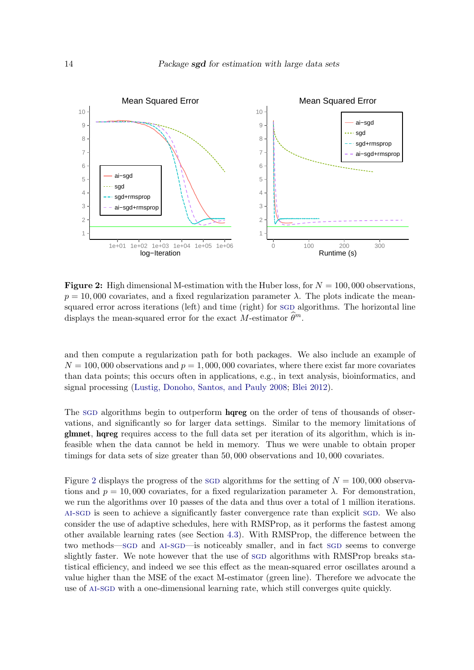<span id="page-13-0"></span>

**Figure 2:** High dimensional M-estimation with the Huber loss, for  $N = 100,000$  observations.  $p = 10,000$  covariates, and a fixed regularization parameter  $\lambda$ . The plots indicate the meansquared error across iterations (left) and time (right) for sgD algorithms. The horizontal line displays the mean-squared error for the exact M-estimator  $\hat{\theta}^m$ .

and then compute a regularization path for both packages. We also include an example of  $N = 100,000$  observations and  $p = 1,000,000$  covariates, where there exist far more covariates than data points; this occurs often in applications, e.g., in text analysis, bioinformatics, and signal processing [\(Lustig, Donoho, Santos, and Pauly](#page-21-11) [2008;](#page-21-11) [Blei](#page-19-9) [2012\)](#page-19-9).

The sgD algorithms begin to outperform **hanger** on the order of tens of thousands of observations, and significantly so for larger data settings. Similar to the memory limitations of glmnet, hqreg requires access to the full data set per iteration of its algorithm, which is infeasible when the data cannot be held in memory. Thus we were unable to obtain proper timings for data sets of size greater than 50, 000 observations and 10, 000 covariates.

Figure [2](#page-13-0) displays the progress of the sgD algorithms for the setting of  $N = 100,000$  observations and  $p = 10,000$  covariates, for a fixed regularization parameter  $\lambda$ . For demonstration, we run the algorithms over 10 passes of the data and thus over a total of 1 million iterations. [ai-sgd](#page-0-0) is seen to achieve a significantly faster convergence rate than explicit [sgd](#page-0-0). We also consider the use of adaptive schedules, here with RMSProp, as it performs the fastest among other available learning rates (see Section [4.3\)](#page-15-0). With RMSProp, the difference between the two methods—sgD and AI-SGD—is noticeably smaller, and in fact SGD seems to converge slightly faster. We note however that the use of SGD algorithms with RMSProp breaks statistical efficiency, and indeed we see this effect as the mean-squared error oscillates around a value higher than the MSE of the exact M-estimator (green line). Therefore we advocate the use of [ai-sgd](#page-0-0) with a one-dimensional learning rate, which still converges quite quickly.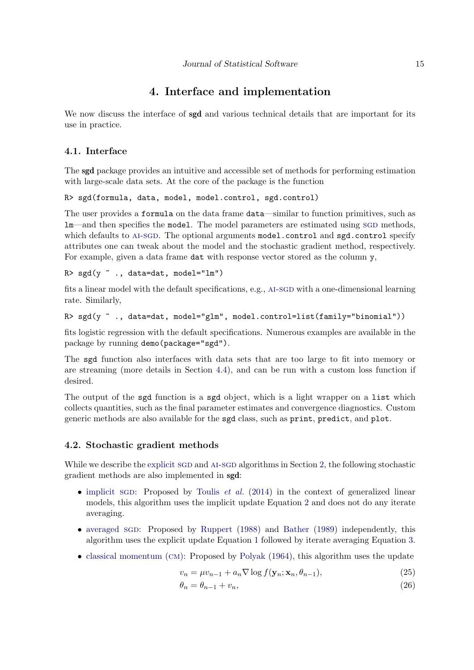### 4. Interface and implementation

<span id="page-14-0"></span>We now discuss the interface of **sgd** and various technical details that are important for its use in practice.

### 4.1. Interface

The sgd package provides an intuitive and accessible set of methods for performing estimation with large-scale data sets. At the core of the package is the function

R> sgd(formula, data, model, model.control, sgd.control)

The user provides a formula on the data frame data—similar to function primitives, such as lm—and then specifies the model. The model parameters are estimated using SGD methods, which defaults to AI-SGD. The optional arguments model.control and sgd.control specify attributes one can tweak about the model and the stochastic gradient method, respectively. For example, given a data frame dat with response vector stored as the column  $y$ ,

#### R>  $sgd(y \text{ }^*,$ , data=dat, model="lm")

fits a linear model with the default specifications, e.g., AI-SGD with a one-dimensional learning rate. Similarly,

```
R> sgd(y ~ ., data=dat, model="glm", model.control=list(family="binomial"))
```
fits logistic regression with the default specifications. Numerous examples are available in the package by running demo(package="sgd").

The sgd function also interfaces with data sets that are too large to fit into memory or are streaming (more details in Section [4.4\)](#page-16-0), and can be run with a custom loss function if desired.

The output of the sgd function is a sgd object, which is a light wrapper on a list which collects quantities, such as the final parameter estimates and convergence diagnostics. Custom generic methods are also available for the sgd class, such as print, predict, and plot.

### <span id="page-14-1"></span>4.2. Stochastic gradient methods

While we describe the [explicit](#page-0-0) SGD and AI-SGD algorithms in Section [2,](#page-3-0) the following stochastic gradient methods are also implemented in sgd:

- [implicit](#page-0-0) sgd: Proposed by [Toulis](#page-22-3) *et al.* [\(2014\)](#page-22-3) in the context of generalized linear models, this algorithm uses the implicit update Equation [2](#page-2-0) and does not do any iterate averaging.
- [averaged](#page-0-0) sgd: Proposed by [Ruppert](#page-22-7) [\(1988\)](#page-22-7) and [Bather](#page-19-10) [\(1989\)](#page-19-10) independently, this algorithm uses the explicit update Equation [1](#page-1-0) followed by iterate averaging Equation [3.](#page-2-2)
- [classical momentum \(](#page-0-0)CM): Proposed by [Polyak](#page-21-12)  $(1964)$ , this algorithm uses the update

$$
v_n = \mu v_{n-1} + a_n \nabla \log f(\mathbf{y}_n; \mathbf{x}_n, \theta_{n-1}),
$$
\n(25)

$$
\theta_n = \theta_{n-1} + v_n,\tag{26}
$$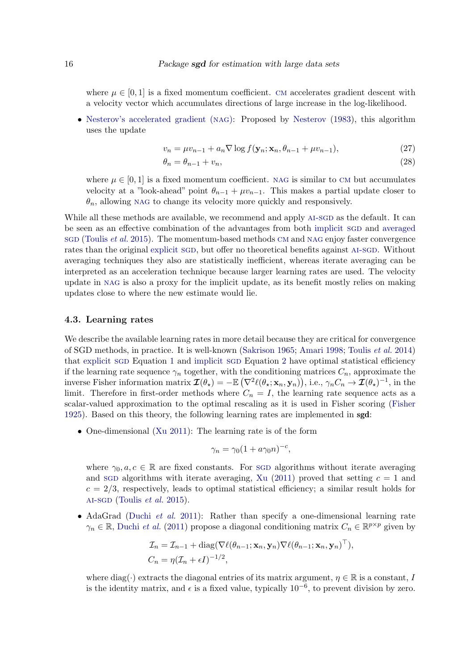where  $\mu \in [0, 1]$  is a fixed momentum coefficient. CM accelerates gradient descent with a velocity vector which accumulates directions of large increase in the log-likelihood.

• [Nesterov's accelerated gradient \(](#page-0-0)NAG): Proposed by [Nesterov](#page-21-13) [\(1983\)](#page-21-13), this algorithm uses the update

$$
v_n = \mu v_{n-1} + a_n \nabla \log f(\mathbf{y}_n; \mathbf{x}_n, \theta_{n-1} + \mu v_{n-1}),
$$
\n(27)

$$
\theta_n = \theta_{n-1} + v_n,\tag{28}
$$

where  $\mu \in [0, 1]$  is a fixed momentum coefficient. NAG is similar to CM but accumulates velocity at a "look-ahead" point  $\theta_{n-1} + \mu v_{n-1}$ . This makes a partial update closer to  $\theta_n$ , allowing NAG to change its velocity more quickly and responsively.

While all these methods are available, we recommend and apply AI-SGD as the default. It can be seen as an effective combination of the advantages from both [implicit](#page-0-0) sgD and [averaged](#page-0-0) [sgd](#page-0-0) [\(Toulis](#page-22-5) *et al.* [2015\)](#page-22-5). The momentum-based methods CM and NAG enjoy faster convergence rates than the original [explicit](#page-0-0) sg<sub>D</sub>, but offer no theoretical benefits against AI-SGD. Without averaging techniques they also are statistically inefficient, whereas iterate averaging can be interpreted as an acceleration technique because larger learning rates are used. The velocity update in [nag](#page-0-0) is also a proxy for the implicit update, as its benefit mostly relies on making updates close to where the new estimate would lie.

#### <span id="page-15-0"></span>4.3. Learning rates

We describe the available learning rates in more detail because they are critical for convergence of SGD methods, in practice. It is well-known [\(Sakrison](#page-22-0) [1965;](#page-22-0) [Amari](#page-19-11) [1998;](#page-19-11) [Toulis](#page-22-3) et al. [2014\)](#page-22-3) that [explicit](#page-0-0) sgd Equation [1](#page-1-0) and [implicit](#page-0-0) sgd Equation [2](#page-2-0) have optimal statistical efficiency if the learning rate sequence  $\gamma_n$  together, with the conditioning matrices  $C_n$ , approximate the inverse Fisher information matrix  $\mathcal{I}(\theta_\star) = -\mathbb{E} \left( \nabla^2 \ell(\theta_\star; \mathbf{x}_n, \mathbf{y}_n) \right)$ , i.e.,  $\gamma_n C_n \to \mathcal{I}(\theta_\star)^{-1}$ , in the limit. Therefore in first-order methods where  $C_n = I$ , the learning rate sequence acts as a scalar-valued approximation to the optimal rescaling as it is used in Fisher scoring [\(Fisher](#page-20-0) [1925\)](#page-20-0). Based on this theory, the following learning rates are implemented in sgd:

• One-dimensional [\(Xu](#page-23-2) [2011\)](#page-23-2): The learning rate is of the form

$$
\gamma_n = \gamma_0 (1 + a \gamma_0 n)^{-c},
$$

where  $\gamma_0, a, c \in \mathbb{R}$  are fixed constants. For [sgd](#page-0-0) algorithms without iterate averaging and SGD algorithms with iterate averaging, [Xu](#page-23-2) [\(2011\)](#page-23-2) proved that setting  $c = 1$  and  $c = 2/3$ , respectively, leads to optimal statistical efficiency; a similar result holds for  $AI-SGD$  [\(Toulis](#page-22-5) *et al.* [2015\)](#page-22-5).

• AdaGrad [\(Duchi](#page-19-4) *et al.* [2011\)](#page-19-4): Rather than specify a one-dimensional learning rate  $\gamma_n \in \mathbb{R}$ , [Duchi](#page-19-4) et al. [\(2011\)](#page-19-4) propose a diagonal conditioning matrix  $C_n \in \mathbb{R}^{p \times p}$  given by

$$
\mathcal{I}_n = \mathcal{I}_{n-1} + \text{diag}(\nabla \ell(\theta_{n-1}; \mathbf{x}_n, \mathbf{y}_n) \nabla \ell(\theta_{n-1}; \mathbf{x}_n, \mathbf{y}_n)^\top),
$$
  

$$
C_n = \eta(\mathcal{I}_n + \epsilon I)^{-1/2},
$$

where diag(·) extracts the diagonal entries of its matrix argument,  $\eta \in \mathbb{R}$  is a constant, I is the identity matrix, and  $\epsilon$  is a fixed value, typically  $10^{-6}$ , to prevent division by zero.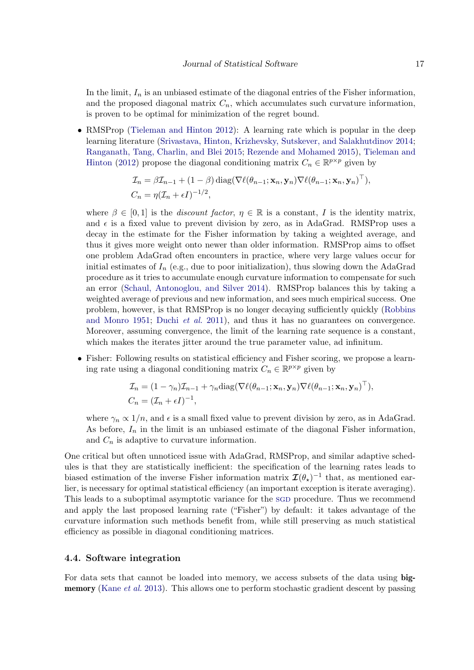In the limit,  $I_n$  is an unbiased estimate of the diagonal entries of the Fisher information, and the proposed diagonal matrix  $C_n$ , which accumulates such curvature information, is proven to be optimal for minimization of the regret bound.

• RMSProp [\(Tieleman and Hinton](#page-22-9) [2012\)](#page-22-9): A learning rate which is popular in the deep learning literature [\(Srivastava, Hinton, Krizhevsky, Sutskever, and Salakhutdinov](#page-22-15) [2014;](#page-22-15) [Ranganath, Tang, Charlin, and Blei](#page-21-14) [2015;](#page-21-14) [Rezende and Mohamed](#page-21-15) [2015\)](#page-21-15), [Tieleman and](#page-22-9) [Hinton](#page-22-9) [\(2012\)](#page-22-9) propose the diagonal conditioning matrix  $C_n \in \mathbb{R}^{p \times p}$  given by

$$
\mathcal{I}_n = \beta \mathcal{I}_{n-1} + (1 - \beta) \operatorname{diag}(\nabla \ell(\theta_{n-1}; \mathbf{x}_n, \mathbf{y}_n) \nabla \ell(\theta_{n-1}; \mathbf{x}_n, \mathbf{y}_n)^\top),
$$
  

$$
C_n = \eta(\mathcal{I}_n + \epsilon I)^{-1/2},
$$

where  $\beta \in [0,1]$  is the *discount factor*,  $\eta \in \mathbb{R}$  is a constant, I is the identity matrix, and  $\epsilon$  is a fixed value to prevent division by zero, as in AdaGrad. RMSProp uses a decay in the estimate for the Fisher information by taking a weighted average, and thus it gives more weight onto newer than older information. RMSProp aims to offset one problem AdaGrad often encounters in practice, where very large values occur for initial estimates of  $I_n$  (e.g., due to poor initialization), thus slowing down the AdaGrad procedure as it tries to accumulate enough curvature information to compensate for such an error [\(Schaul, Antonoglou, and Silver](#page-22-16) [2014\)](#page-22-16). RMSProp balances this by taking a weighted average of previous and new information, and sees much empirical success. One problem, however, is that RMSProp is no longer decaying sufficiently quickly [\(Robbins](#page-22-1) [and Monro](#page-22-1) [1951;](#page-22-1) [Duchi](#page-19-4) et al. [2011\)](#page-19-4), and thus it has no guarantees on convergence. Moreover, assuming convergence, the limit of the learning rate sequence is a constant, which makes the iterates jitter around the true parameter value, ad infinitum.

• Fisher: Following results on statistical efficiency and Fisher scoring, we propose a learning rate using a diagonal conditioning matrix  $C_n \in \mathbb{R}^{p \times p}$  given by

$$
\mathcal{I}_n = (1 - \gamma_n)\mathcal{I}_{n-1} + \gamma_n \text{diag}(\nabla \ell(\theta_{n-1}; \mathbf{x}_n, \mathbf{y}_n) \nabla \ell(\theta_{n-1}; \mathbf{x}_n, \mathbf{y}_n)^\top),
$$
  

$$
C_n = (\mathcal{I}_n + \epsilon I)^{-1},
$$

where  $\gamma_n \propto 1/n$ , and  $\epsilon$  is a small fixed value to prevent division by zero, as in AdaGrad. As before,  $I_n$  in the limit is an unbiased estimate of the diagonal Fisher information, and  $C_n$  is adaptive to curvature information.

One critical but often unnoticed issue with AdaGrad, RMSProp, and similar adaptive schedules is that they are statistically inefficient: the specification of the learning rates leads to biased estimation of the inverse Fisher information matrix  $\mathcal{I}(\theta_{\star})^{-1}$  that, as mentioned earlier, is necessary for optimal statistical efficiency (an important exception is iterate averaging). This leads to a suboptimal asymptotic variance for the SGD procedure. Thus we recommend and apply the last proposed learning rate ("Fisher") by default: it takes advantage of the curvature information such methods benefit from, while still preserving as much statistical efficiency as possible in diagonal conditioning matrices.

#### <span id="page-16-0"></span>4.4. Software integration

For data sets that cannot be loaded into memory, we access subsets of the data using big-memory [\(Kane](#page-20-9) *et al.* [2013\)](#page-20-9). This allows one to perform stochastic gradient descent by passing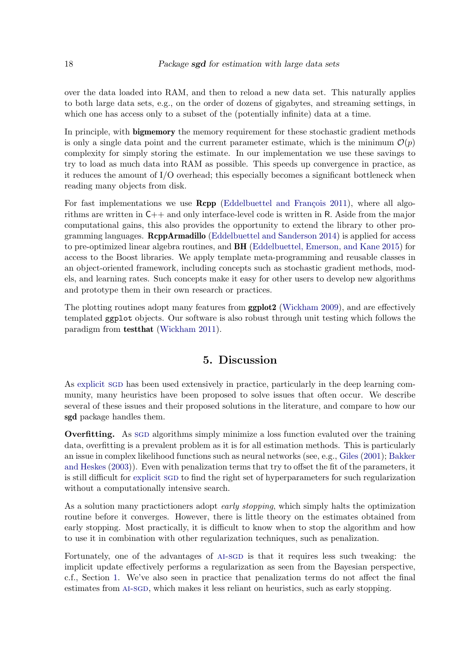over the data loaded into RAM, and then to reload a new data set. This naturally applies to both large data sets, e.g., on the order of dozens of gigabytes, and streaming settings, in which one has access only to a subset of the (potentially infinite) data at a time.

In principle, with **bigmemory** the memory requirement for these stochastic gradient methods is only a single data point and the current parameter estimate, which is the minimum  $\mathcal{O}(p)$ complexity for simply storing the estimate. In our implementation we use these savings to try to load as much data into RAM as possible. This speeds up convergence in practice, as it reduces the amount of I/O overhead; this especially becomes a significant bottleneck when reading many objects from disk.

For fast implementations we use  $\mathbf{Rcpp}$  (Eddelbuettel and François [2011\)](#page-19-12), where all algorithms are written in  $C_{++}$  and only interface-level code is written in R. Aside from the major computational gains, this also provides the opportunity to extend the library to other programming languages. RcppArmadillo [\(Eddelbuettel and Sanderson](#page-20-12) [2014\)](#page-20-12) is applied for access to pre-optimized linear algebra routines, and BH [\(Eddelbuettel, Emerson, and Kane](#page-19-13) [2015\)](#page-19-13) for access to the Boost libraries. We apply template meta-programming and reusable classes in an object-oriented framework, including concepts such as stochastic gradient methods, models, and learning rates. Such concepts make it easy for other users to develop new algorithms and prototype them in their own research or practices.

The plotting routines adopt many features from ggplot2 [\(Wickham](#page-23-5) [2009\)](#page-23-5), and are effectively templated ggplot objects. Our software is also robust through unit testing which follows the paradigm from testthat [\(Wickham](#page-23-6) [2011\)](#page-23-6).

### 5. Discussion

As [explicit](#page-0-0) sqD has been used extensively in practice, particularly in the deep learning community, many heuristics have been proposed to solve issues that often occur. We describe several of these issues and their proposed solutions in the literature, and compare to how our sgd package handles them.

**Overfitting.** As sgD algorithms simply minimize a loss function evaluted over the training data, overfitting is a prevalent problem as it is for all estimation methods. This is particularly an issue in complex likelihood functions such as neural networks (see, e.g., [Giles](#page-20-13) [\(2001\)](#page-20-13); [Bakker](#page-19-14) [and Heskes](#page-19-14) [\(2003\)](#page-19-14)). Even with penalization terms that try to offset the fit of the parameters, it is still difficult for [explicit](#page-0-0) sgD to find the right set of hyperparameters for such regularization without a computationally intensive search.

As a solution many practictioners adopt early stopping, which simply halts the optimization routine before it converges. However, there is little theory on the estimates obtained from early stopping. Most practically, it is difficult to know when to stop the algorithm and how to use it in combination with other regularization techniques, such as penalization.

Fortunately, one of the advantages of [ai-sgd](#page-0-0) is that it requires less such tweaking: the implicit update effectively performs a regularization as seen from the Bayesian perspective, c.f., Section [1.](#page-0-1) We've also seen in practice that penalization terms do not affect the final estimates from [ai-sgd](#page-0-0), which makes it less reliant on heuristics, such as early stopping.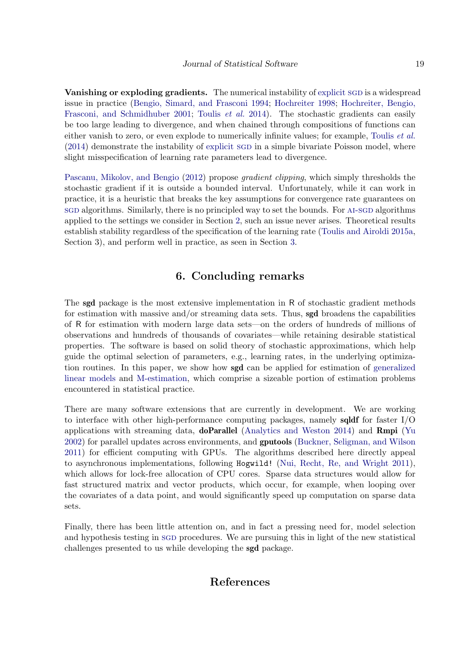Vanishing or exploding gradients. The numerical instability of [explicit](#page-0-0) SGD is a widespread issue in practice [\(Bengio, Simard, and Frasconi](#page-19-15) [1994;](#page-19-15) [Hochreiter](#page-20-14) [1998;](#page-20-14) [Hochreiter, Bengio,](#page-20-15) [Frasconi, and Schmidhuber](#page-20-15) [2001;](#page-20-15) [Toulis](#page-22-3) *et al.* [2014\)](#page-22-3). The stochastic gradients can easily be too large leading to divergence, and when chained through compositions of functions can either vanish to zero, or even explode to numerically infinite values; for example, [Toulis](#page-22-3) *et al.*  $(2014)$  demonstrate the instability of [explicit](#page-0-0) sgD in a simple bivariate Poisson model, where slight misspecification of learning rate parameters lead to divergence.

[Pascanu, Mikolov, and Bengio](#page-21-16) [\(2012\)](#page-21-16) propose gradient clipping, which simply thresholds the stochastic gradient if it is outside a bounded interval. Unfortunately, while it can work in practice, it is a heuristic that breaks the key assumptions for convergence rate guarantees on sg algorithms. Similarly, there is no principled way to set the bounds. For AI-SGD algorithms applied to the settings we consider in Section [2,](#page-3-0) such an issue never arises. Theoretical results establish stability regardless of the specification of the learning rate [\(Toulis and Airoldi](#page-22-4) [2015a,](#page-22-4) Section 3), and perform well in practice, as seen in Section [3.](#page-7-0)

### 6. Concluding remarks

The **sgd** package is the most extensive implementation in R of stochastic gradient methods for estimation with massive and/or streaming data sets. Thus, sgd broadens the capabilities of R for estimation with modern large data sets—on the orders of hundreds of millions of observations and hundreds of thousands of covariates—while retaining desirable statistical properties. The software is based on solid theory of stochastic approximations, which help guide the optimal selection of parameters, e.g., learning rates, in the underlying optimization routines. In this paper, we show how sgd can be applied for estimation of [generalized](#page-0-0) [linear models](#page-0-0) and [M-estimation,](#page-0-0) which comprise a sizeable portion of estimation problems encountered in statistical practice.

There are many software extensions that are currently in development. We are working to interface with other high-performance computing packages, namely **sqldf** for faster  $I/O$ applications with streaming data, doParallel [\(Analytics and Weston](#page-19-16) [2014\)](#page-19-16) and Rmpi [\(Yu](#page-23-7) [2002\)](#page-23-7) for parallel updates across environments, and gputools [\(Buckner, Seligman, and Wilson](#page-19-17) [2011\)](#page-19-17) for efficient computing with GPUs. The algorithms described here directly appeal to asynchronous implementations, following Hogwild! [\(Nui, Recht, Re, and Wright](#page-21-17) [2011\)](#page-21-17), which allows for lock-free allocation of CPU cores. Sparse data structures would allow for fast structured matrix and vector products, which occur, for example, when looping over the covariates of a data point, and would significantly speed up computation on sparse data sets.

Finally, there has been little attention on, and in fact a pressing need for, model selection and hypothesis testing in SGD procedures. We are pursuing this in light of the new statistical challenges presented to us while developing the sgd package.

### References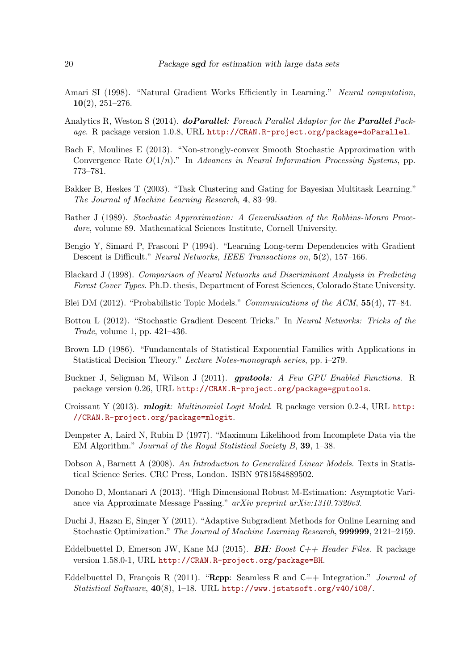- <span id="page-19-11"></span>Amari SI (1998). "Natural Gradient Works Efficiently in Learning." Neural computation,  $10(2)$ ,  $251-276$ .
- <span id="page-19-16"></span>Analytics R, Weston S (2014). **doParallel**: Foreach Parallel Adaptor for the **Parallel** Package. R package version 1.0.8, URL <http://CRAN.R-project.org/package=doParallel>.
- <span id="page-19-5"></span>Bach F, Moulines E (2013). "Non-strongly-convex Smooth Stochastic Approximation with Convergence Rate  $O(1/n)$ ." In Advances in Neural Information Processing Systems, pp. 773–781.
- <span id="page-19-14"></span>Bakker B, Heskes T (2003). "Task Clustering and Gating for Bayesian Multitask Learning." The Journal of Machine Learning Research, 4, 83–99.
- <span id="page-19-10"></span>Bather J (1989). Stochastic Approximation: A Generalisation of the Robbins-Monro Procedure, volume 89. Mathematical Sciences Institute, Cornell University.
- <span id="page-19-15"></span>Bengio Y, Simard P, Frasconi P (1994). "Learning Long-term Dependencies with Gradient Descent is Difficult." Neural Networks, IEEE Transactions on, 5(2), 157–166.
- <span id="page-19-7"></span>Blackard J (1998). Comparison of Neural Networks and Discriminant Analysis in Predicting Forest Cover Types. Ph.D. thesis, Department of Forest Sciences, Colorado State University.
- <span id="page-19-9"></span>Blei DM (2012). "Probabilistic Topic Models." Communications of the ACM, 55(4), 77–84.
- <span id="page-19-6"></span>Bottou L (2012). "Stochastic Gradient Descent Tricks." In Neural Networks: Tricks of the Trade, volume 1, pp. 421–436.
- <span id="page-19-1"></span>Brown LD (1986). "Fundamentals of Statistical Exponential Families with Applications in Statistical Decision Theory." Lecture Notes-monograph series, pp. i–279.
- <span id="page-19-17"></span>Buckner J, Seligman M, Wilson J (2011). gputools: A Few GPU Enabled Functions. R package version 0.26, URL <http://CRAN.R-project.org/package=gputools>.
- <span id="page-19-8"></span>Croissant Y (2013). *mlogit: Multinomial Logit Model.* R package version 0.2-4, URL [http:](http://CRAN.R-project.org/package=mlogit) [//CRAN.R-project.org/package=mlogit](http://CRAN.R-project.org/package=mlogit).
- <span id="page-19-0"></span>Dempster A, Laird N, Rubin D (1977). "Maximum Likelihood from Incomplete Data via the EM Algorithm." Journal of the Royal Statistical Society B, 39, 1–38.
- <span id="page-19-2"></span>Dobson A, Barnett A (2008). An Introduction to Generalized Linear Models. Texts in Statistical Science Series. CRC Press, London. ISBN 9781584889502.
- <span id="page-19-3"></span>Donoho D, Montanari A (2013). "High Dimensional Robust M-Estimation: Asymptotic Variance via Approximate Message Passing." arXiv preprint arXiv:1310.7320v3.
- <span id="page-19-4"></span>Duchi J, Hazan E, Singer Y (2011). "Adaptive Subgradient Methods for Online Learning and Stochastic Optimization." The Journal of Machine Learning Research, 999999, 2121–2159.
- <span id="page-19-13"></span>Eddelbuettel D, Emerson JW, Kane MJ (2015). **BH**: Boost  $C_{++}$  Header Files. R package version 1.58.0-1, URL <http://CRAN.R-project.org/package=BH>.
- <span id="page-19-12"></span>Eddelbuettel D, François R (2011). "Repp: Seamless R and  $C_{++}$  Integration." *Journal of* Statistical Software, 40(8), 1–18. URL <http://www.jstatsoft.org/v40/i08/>.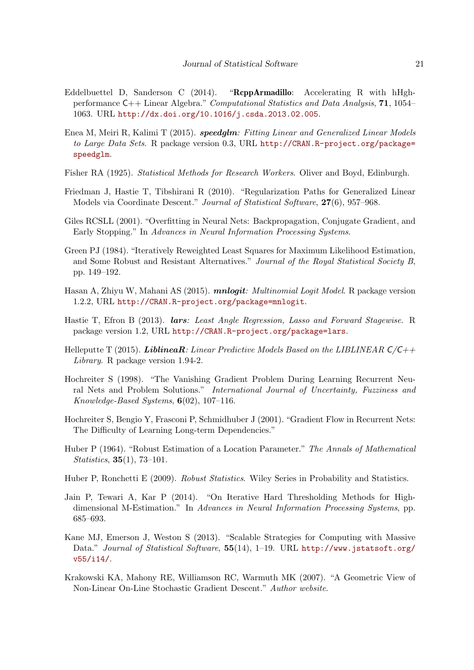- <span id="page-20-12"></span>Eddelbuettel D, Sanderson C (2014). "RcppArmadillo: Accelerating R with hHghperformance C++ Linear Algebra." Computational Statistics and Data Analysis, 71, 1054– 1063. URL <http://dx.doi.org/10.1016/j.csda.2013.02.005>.
- <span id="page-20-7"></span>Enea M, Meiri R, Kalimi T (2015). speedglm: Fitting Linear and Generalized Linear Models to Large Data Sets. R package version 0.3, URL [http://CRAN.R-project.org/package=](http://CRAN.R-project.org/package=speedglm) [speedglm](http://CRAN.R-project.org/package=speedglm).
- <span id="page-20-0"></span>Fisher RA (1925). Statistical Methods for Research Workers. Oliver and Boyd, Edinburgh.
- <span id="page-20-6"></span>Friedman J, Hastie T, Tibshirani R (2010). "Regularization Paths for Generalized Linear Models via Coordinate Descent." Journal of Statistical Software, 27(6), 957–968.
- <span id="page-20-13"></span>Giles RCSLL (2001). "Overfitting in Neural Nets: Backpropagation, Conjugate Gradient, and Early Stopping." In Advances in Neural Information Processing Systems.
- <span id="page-20-1"></span>Green PJ (1984). "Iteratively Reweighted Least Squares for Maximum Likelihood Estimation, and Some Robust and Resistant Alternatives." Journal of the Royal Statistical Society B, pp. 149–192.
- <span id="page-20-11"></span>Hasan A, Zhiyu W, Mahani AS (2015). *mnlogit: Multinomial Logit Model*. R package version 1.2.2, URL <http://CRAN.R-project.org/package=mnlogit>.
- <span id="page-20-8"></span>Hastie T, Efron B (2013). *lars: Least Angle Regression, Lasso and Forward Stagewise.* R package version 1.2, URL <http://CRAN.R-project.org/package=lars>.
- <span id="page-20-10"></span>Helleputte T (2015). LiblineaR: Linear Predictive Models Based on the LIBLINEAR  $C/C++$ Library. R package version 1.94-2.
- <span id="page-20-14"></span>Hochreiter S (1998). "The Vanishing Gradient Problem During Learning Recurrent Neural Nets and Problem Solutions." International Journal of Uncertainty, Fuzziness and Knowledge-Based Systems, 6(02), 107–116.
- <span id="page-20-15"></span>Hochreiter S, Bengio Y, Frasconi P, Schmidhuber J (2001). "Gradient Flow in Recurrent Nets: The Difficulty of Learning Long-term Dependencies."
- <span id="page-20-3"></span>Huber P (1964). "Robust Estimation of a Location Parameter." The Annals of Mathematical Statistics, 35(1), 73–101.
- <span id="page-20-4"></span>Huber P, Ronchetti E (2009). Robust Statistics. Wiley Series in Probability and Statistics.
- <span id="page-20-5"></span>Jain P, Tewari A, Kar P (2014). "On Iterative Hard Thresholding Methods for Highdimensional M-Estimation." In Advances in Neural Information Processing Systems, pp. 685–693.
- <span id="page-20-9"></span>Kane MJ, Emerson J, Weston S (2013). "Scalable Strategies for Computing with Massive Data." Journal of Statistical Software, 55(14), 1-19. URL [http://www.jstatsoft.org/](http://www.jstatsoft.org/v55/i14/) [v55/i14/](http://www.jstatsoft.org/v55/i14/).
- <span id="page-20-2"></span>Krakowski KA, Mahony RE, Williamson RC, Warmuth MK (2007). "A Geometric View of Non-Linear On-Line Stochastic Gradient Descent." Author website.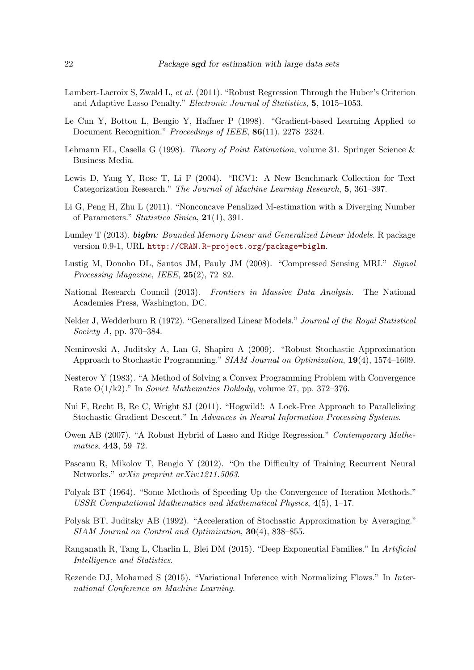- <span id="page-21-6"></span>Lambert-Lacroix S, Zwald L, et al. (2011). "Robust Regression Through the Huber's Criterion and Adaptive Lasso Penalty." Electronic Journal of Statistics, 5, 1015–1053.
- <span id="page-21-10"></span>Le Cun Y, Bottou L, Bengio Y, Haffner P (1998). "Gradient-based Learning Applied to Document Recognition." Proceedings of IEEE, 86(11), 2278-2324.
- <span id="page-21-1"></span>Lehmann EL, Casella G (1998). Theory of Point Estimation, volume 31. Springer Science & Business Media.
- <span id="page-21-9"></span>Lewis D, Yang Y, Rose T, Li F (2004). "RCV1: A New Benchmark Collection for Text Categorization Research." The Journal of Machine Learning Research, 5, 361–397.
- <span id="page-21-7"></span>Li G, Peng H, Zhu L (2011). "Nonconcave Penalized M-estimation with a Diverging Number of Parameters." Statistica Sinica, 21(1), 391.
- <span id="page-21-8"></span>Lumley T (2013). **biglm**: Bounded Memory Linear and Generalized Linear Models. R package version 0.9-1, URL <http://CRAN.R-project.org/package=biglm>.
- <span id="page-21-11"></span>Lustig M, Donoho DL, Santos JM, Pauly JM (2008). "Compressed Sensing MRI." Signal Processing Magazine, IEEE, 25(2), 72–82.
- <span id="page-21-0"></span>National Research Council (2013). Frontiers in Massive Data Analysis. The National Academies Press, Washington, DC.
- <span id="page-21-4"></span>Nelder J, Wedderburn R (1972). "Generalized Linear Models." Journal of the Royal Statistical Society A, pp. 370–384.
- <span id="page-21-2"></span>Nemirovski A, Juditsky A, Lan G, Shapiro A (2009). "Robust Stochastic Approximation Approach to Stochastic Programming." SIAM Journal on Optimization, 19(4), 1574–1609.
- <span id="page-21-13"></span>Nesterov Y (1983). "A Method of Solving a Convex Programming Problem with Convergence Rate  $O(1/k2)$ ." In *Soviet Mathematics Doklady*, volume 27, pp. 372–376.
- <span id="page-21-17"></span>Nui F, Recht B, Re C, Wright SJ (2011). "Hogwild!: A Lock-Free Approach to Parallelizing Stochastic Gradient Descent." In Advances in Neural Information Processing Systems.
- <span id="page-21-5"></span>Owen AB (2007). "A Robust Hybrid of Lasso and Ridge Regression." Contemporary Mathematics, 443, 59–72.
- <span id="page-21-16"></span>Pascanu R, Mikolov T, Bengio Y (2012). "On the Difficulty of Training Recurrent Neural Networks." arXiv preprint arXiv:1211.5063.
- <span id="page-21-12"></span>Polyak BT (1964). "Some Methods of Speeding Up the Convergence of Iteration Methods." USSR Computational Mathematics and Mathematical Physics, 4(5), 1–17.
- <span id="page-21-3"></span>Polyak BT, Juditsky AB (1992). "Acceleration of Stochastic Approximation by Averaging." SIAM Journal on Control and Optimization, 30(4), 838–855.
- <span id="page-21-14"></span>Ranganath R, Tang L, Charlin L, Blei DM (2015). "Deep Exponential Families." In Artificial Intelligence and Statistics.
- <span id="page-21-15"></span>Rezende DJ, Mohamed S (2015). "Variational Inference with Normalizing Flows." In International Conference on Machine Learning.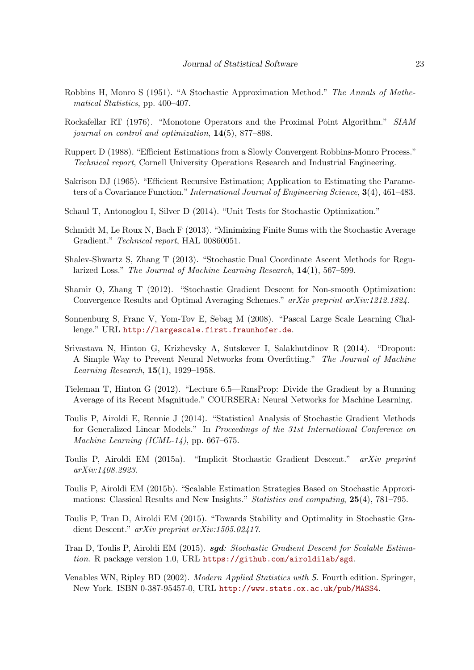- <span id="page-22-1"></span>Robbins H, Monro S (1951). "A Stochastic Approximation Method." The Annals of Mathematical Statistics, pp. 400–407.
- <span id="page-22-6"></span>Rockafellar RT (1976). "Monotone Operators and the Proximal Point Algorithm." SIAM journal on control and optimization, 14(5), 877–898.
- <span id="page-22-7"></span>Ruppert D (1988). "Efficient Estimations from a Slowly Convergent Robbins-Monro Process." Technical report, Cornell University Operations Research and Industrial Engineering.
- <span id="page-22-0"></span>Sakrison DJ (1965). "Efficient Recursive Estimation; Application to Estimating the Parameters of a Covariance Function." International Journal of Engineering Science, 3(4), 461–483.
- <span id="page-22-16"></span>Schaul T, Antonoglou I, Silver D (2014). "Unit Tests for Stochastic Optimization."
- <span id="page-22-11"></span>Schmidt M, Le Roux N, Bach F (2013). "Minimizing Finite Sums with the Stochastic Average Gradient." Technical report, HAL 00860051.
- <span id="page-22-13"></span>Shalev-Shwartz S, Zhang T (2013). "Stochastic Dual Coordinate Ascent Methods for Regularized Loss." The Journal of Machine Learning Research, 14(1), 567–599.
- <span id="page-22-10"></span>Shamir O, Zhang T (2012). "Stochastic Gradient Descent for Non-smooth Optimization: Convergence Results and Optimal Averaging Schemes." arXiv preprint arXiv:1212.1824.
- <span id="page-22-12"></span>Sonnenburg S, Franc V, Yom-Tov E, Sebag M (2008). "Pascal Large Scale Learning Challenge." URL <http://largescale.first.fraunhofer.de>.
- <span id="page-22-15"></span>Srivastava N, Hinton G, Krizhevsky A, Sutskever I, Salakhutdinov R (2014). "Dropout: A Simple Way to Prevent Neural Networks from Overfitting." The Journal of Machine Learning Research, 15(1), 1929–1958.
- <span id="page-22-9"></span>Tieleman T, Hinton G (2012). "Lecture 6.5—RmsProp: Divide the Gradient by a Running Average of its Recent Magnitude." COURSERA: Neural Networks for Machine Learning.
- <span id="page-22-3"></span>Toulis P, Airoldi E, Rennie J (2014). "Statistical Analysis of Stochastic Gradient Methods for Generalized Linear Models." In Proceedings of the 31st International Conference on Machine Learning (ICML-14), pp. 667–675.
- <span id="page-22-4"></span>Toulis P, Airoldi EM (2015a). "Implicit Stochastic Gradient Descent." arXiv preprint arXiv:1408.2923.
- <span id="page-22-2"></span>Toulis P, Airoldi EM (2015b). "Scalable Estimation Strategies Based on Stochastic Approximations: Classical Results and New Insights." Statistics and computing, 25(4), 781–795.
- <span id="page-22-5"></span>Toulis P, Tran D, Airoldi EM (2015). "Towards Stability and Optimality in Stochastic Gradient Descent." arXiv preprint arXiv:1505.02417.
- <span id="page-22-8"></span>Tran D, Toulis P, Airoldi EM (2015). sgd: Stochastic Gradient Descent for Scalable Estimation. R package version 1.0, URL <https://github.com/airoldilab/sgd>.
- <span id="page-22-14"></span>Venables WN, Ripley BD (2002). Modern Applied Statistics with S. Fourth edition. Springer, New York. ISBN 0-387-95457-0, URL <http://www.stats.ox.ac.uk/pub/MASS4>.